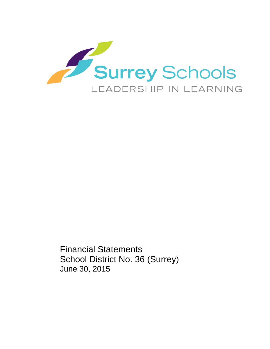

Financial Statements School District No. 36 (Surrey) June 30, 2015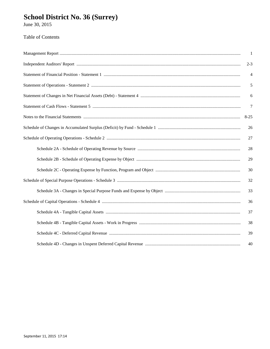# School District No. 36 (Surrey)<br>June 30, 2015

### Table of Contents

| $\overline{\phantom{0}}$ |
|--------------------------|
| $2 - 3$                  |
| $\overline{4}$           |
| $\sqrt{5}$               |
| 6                        |
| $\overline{7}$           |
| $8-25$                   |
| 26                       |
| 27                       |
| 28                       |
| 29                       |
| 30                       |
| 32                       |
| 33                       |
| 36                       |
| 37                       |
| 38                       |
| 39                       |
| 40                       |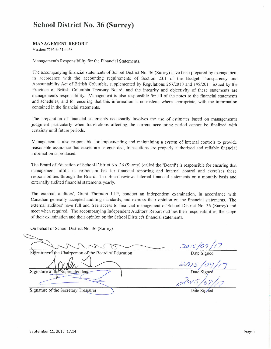#### **MANAGEMENT REPORT**

Version: 7196-6451-4468

Management's Responsibility for the Financial Statements.

The accompanying financial statements of School District No. 36 (Surrey) have been prepared by management in accordance with the accounting requirements of Section 23.1 of the Budget Transparency and Accountability Act of British Columbia, supplemented by Regulations 257/2010 and 198/2011 issued by the Province of British Columbia Treasury Board, and the integrity and objectivity of these statements are management's responsibility. Management is also responsible for all of the notes to the financial statements and schedules, and for ensuring that this information is consistent, where appropriate, with the information contained in the financial statements.

The preparation of financial statements necessarily involves the use of estimates based on management's judgment particularly when transactions affecting the current accounting period cannot be finalized with certainty until future periods.

Management is also responsible for implementing and maintaining a system of internal controls to provide reasonable assurance that assets are safeguarded, transactions are properly authorized and reliable financial information is produced.

The Board of Education of School District No. 36 (Surrey) (called the "Board") is responsible for ensuring that management fulfills its responsibilities for financial reporting and internal control and exercises these responsibilities through the Board. The Board reviews internal financial statements on a monthly basis and externally audited financial statements yearly.

The external auditors', Grant Thornton LLP, conduct an independent examination, in accordance with Canadian generally accepted auditing standards, and express their opinion on the financial statements. The external auditors' have full and free access to financial management of School District No. 36 (Surrey) and meet when required. The accompanying Independent Auditors' Report outlines their responsibilities, the scope of their examination and their opinion on the School District's financial statements.

On behalf of School District No. 36 (Surrey)

 $20/5$  /09/17 Signature of the Chairperson of the Board of Education Signature of the Superintendent Date Signed Signature of the Secretary Treasurer Date Signed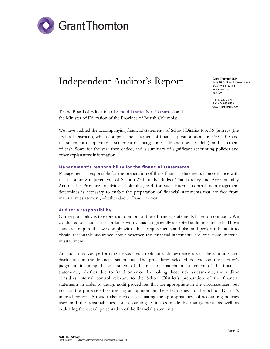

## Independent Auditor's Report

**Grant Thornton LLP**  Suite 1600, Grant Thornton Place 333 Seymour Street Vancouver, BC V6B 0A4

T +1 604 687 2711 F +1 604 685 6569 www.GrantThornton.ca

To the Board of Education of School District No. 36 (Surrey) and the Minister of Education of the Province of British Columbia:

We have audited the accompanying financial statements of School District No. 36 (Surrey) (the "School District"), which comprise the statement of financial position as at June 30, 2015 and the statement of operations, statement of changes in net financial assets (debt), and statement of cash flows for the year then ended, and a summary of significant accounting policies and other explanatory information.

#### Management's responsibility for the financial statements

Management is responsible for the preparation of these financial statements in accordance with the accounting requirements of Section 23.1 of the Budget Transparency and Accountability Act of the Province of British Columbia, and for such internal control as management determines is necessary to enable the preparation of financial statements that are free from material misstatement, whether due to fraud or error.

#### Auditor's responsibility

Our responsibility is to express an opinion on these financial statements based on our audit. We conducted our audit in accordance with Canadian generally accepted auditing standards. Those standards require that we comply with ethical requirements and plan and perform the audit to obtain reasonable assurance about whether the financial statements are free from material misstatement.

An audit involves performing procedures to obtain audit evidence about the amounts and disclosures in the financial statements. The procedures selected depend on the auditor's judgment, including the assessment of the risks of material misstatement of the financial statements, whether due to fraud or error. In making those risk assessments, the auditor considers internal control relevant to the School District's preparation of the financial statements in order to design audit procedures that are appropriate in the circumstances, but not for the purpose of expressing an opinion on the effectiveness of the School District's internal control. An audit also includes evaluating the appropriateness of accounting policies used and the reasonableness of accounting estimates made by management, as well as evaluating the overall presentation of the financial statements.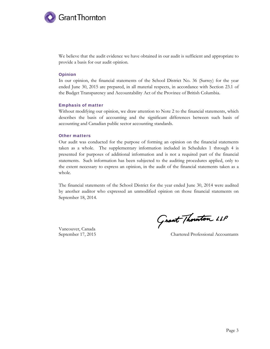

We believe that the audit evidence we have obtained in our audit is sufficient and appropriate to provide a basis for our audit opinion.

#### Opinion

In our opinion, the financial statements of the School District No. 36 (Surrey) for the year ended June 30, 2015 are prepared, in all material respects, in accordance with Section 23.1 of the Budget Transparency and Accountability Act of the Province of British Columbia.

#### Emphasis of matter

Without modifying our opinion, we draw attention to Note 2 to the financial statements, which describes the basis of accounting and the significant differences between such basis of accounting and Canadian public sector accounting standards.

#### Other matters

Our audit was conducted for the purpose of forming an opinion on the financial statements taken as a whole. The supplementary information included in Schedules 1 through 4 is presented for purposes of additional information and is not a required part of the financial statements. Such information has been subjected to the auditing procedures applied, only to the extent necessary to express an opinion, in the audit of the financial statements taken as a whole.

The financial statements of the School District for the year ended June 30, 2014 were audited by another auditor who expressed an unmodified opinion on those financial statements on September 18, 2014.

Vancouver, Canada

Grant Thouston LLP

September 17, 2015 Chartered Professional Accountants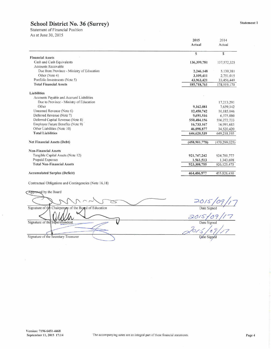Statement of Financial Position As at June 30, 2015

|                                           | 2015            | 2014            |
|-------------------------------------------|-----------------|-----------------|
|                                           | Actual          | Actual          |
|                                           | S               | $\mathbb{S}$    |
| <b>Financial Assets</b>                   |                 |                 |
| Cash and Cash Equivalents                 | 136,399,781     | 137,572,325     |
| Accounts Receivable                       |                 |                 |
| Due from Province - Ministry of Education | 2,246,148       | 5,139,381       |
| Other (Note 4)                            | 3,109,411       | 2,751,015       |
| Portfolio Investments (Note 5)            | 43,963,421      | 33.456,449      |
| <b>Total Financial Assets</b>             | 185,718,761     | 178,919,170     |
| Liabilities                               |                 |                 |
| Accounts Payable and Accrued Liabilities  |                 |                 |
| Due to Province - Ministry of Education   |                 | 17,213,291      |
| Other                                     | 9,162,081       | 7,659,142       |
| Unearned Revenue (Note 6)                 | 12,450,742      | 10,185,046      |
| Deferred Revenue (Note 7)                 | 9.691.516       | 6,375,880       |
| Deferred Capital Revenue (Note 8)         | 550,484,156     | 556,272,733     |
| Employee Future Benefits (Note 9)         | 16,733,167      | 16.991.683      |
| Other Liabilities (Note 10)               | 46,098,877      | 34,520,420      |
| <b>Total Liabilities</b>                  | 644,620,539     | 649,218,195     |
| <b>Net Financial Assets (Debt)</b>        | (458, 901, 778) | (470, 299, 025) |
| <b>Non-Financial Assets</b>               |                 |                 |
| Tangible Capital Assets (Note 12)         | 921,747,242     | 924, 781, 777   |
| Prepaid Expenses                          | 1,561,513       | 1,343,698       |
| <b>Total Non-Financial Assets</b>         | 923,308,755     | 926, 125, 475   |
| <b>Accumulated Surplus (Deficit)</b>      | 464,406,977     | 455,826,450     |

Contractual Obligations and Contingencies (Note 16,18)

**Approved** by the Board

 $\frac{20}{5}$  / 09  $\leq$ Signature of the Chairperson of the Board of Education 2015 09  $\Lambda\Lambda$ Signature of the Superintendent Date Signed  $\mathcal{Z}_2$  $\frac{1}{\sqrt{2}}\sqrt{\frac{g}{c}}$ Signature of the Secretary Treasurer

 $\cdots$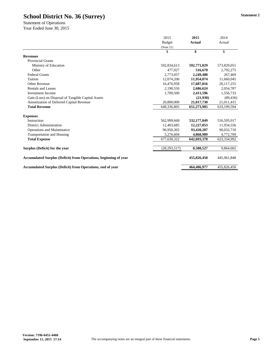|                                                                         | 2015           | 2015          | 2014        |
|-------------------------------------------------------------------------|----------------|---------------|-------------|
|                                                                         | <b>Budget</b>  | <b>Actual</b> | Actual      |
|                                                                         | (Note 21)      |               |             |
|                                                                         | \$             | \$            | \$          |
| <b>Revenues</b>                                                         |                |               |             |
| <b>Provincial Grants</b>                                                |                |               |             |
| Ministry of Education                                                   | 592,834,613    | 592,771,829   | 573,829,051 |
| Other                                                                   | 477,927        | 516,678       | 2,792,275   |
| <b>Federal Grants</b>                                                   | 2,773,057      | 2,249,488     | 267,469     |
| Tuition                                                                 | 12,074,200     | 11,954,074    | 11,660,045  |
| <b>Other Revenue</b>                                                    | 16,476,958     | 17,687,816    | 20,117,255  |
| <b>Rentals and Leases</b>                                               | 2,190,550      | 2,686,624     | 2,054,787   |
| <b>Investment Income</b>                                                | 1,709,500      | 2,411,596     | 1,556,733   |
| Gain (Loss) on Disposal of Tangible Capital Assets                      |                | (21,930)      | (89, 436)   |
| Amortization of Deferred Capital Revenue                                | 20,800,000     | 21,017,730    | 21,011,415  |
| <b>Total Revenue</b>                                                    | 649,336,805    | 651,273,905   | 633,199,594 |
| <b>Expenses</b>                                                         |                |               |             |
| Instruction                                                             | 562,999,668    | 532,177,049   | 516,595,017 |
| <b>District Administration</b>                                          | 12,403,685     | 12,227,053    | 11,934,556  |
| <b>Operations and Maintenance</b>                                       | 96,950,365     | 93,420,287    | 90,032,710  |
| <b>Transportation and Housing</b>                                       | 5,276,604      | 4,868,989     | 4,772,709   |
| <b>Total Expense</b>                                                    | 677,630,322    | 642,693,378   | 623,334,992 |
| Surplus (Deficit) for the year                                          | (28, 293, 517) | 8,580,527     | 9,864,602   |
| <b>Accumulated Surplus (Deficit) from Operations, beginning of year</b> |                | 455,826,450   | 445,961,848 |
| <b>Accumulated Surplus (Deficit) from Operations, end of year</b>       |                | 464,406,977   | 455,826,450 |

Statement of Operations Year Ended June 30, 2015

**Version: 7196-6451-4468**

**September 11, 2015 17:14** The accompanying notes are an integral part of these financial statements. Page 5

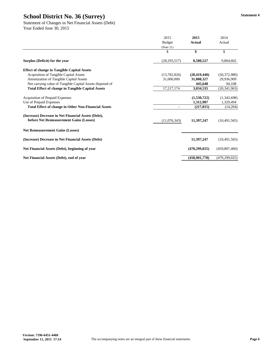|                                                             | 2015                       | 2015            | 2014                      |
|-------------------------------------------------------------|----------------------------|-----------------|---------------------------|
|                                                             | <b>Budget</b><br>(Note 21) | <b>Actual</b>   | Actual                    |
|                                                             |                            |                 |                           |
|                                                             | \$                         | \$              | $\boldsymbol{\mathsf{S}}$ |
| <b>Surplus (Deficit) for the year</b>                       | (28, 293, 517)             | 8,580,527       | 9,864,602                 |
| <b>Effect of change in Tangible Capital Assets</b>          |                            |                 |                           |
| <b>Acquisition of Tangible Capital Assets</b>               | (13,782,826)               | (28, 419, 440)  | (50, 372, 980)            |
| <b>Amortization of Tangible Capital Assets</b>              | 31,000,000                 | 31,008,327      | 29,936,909                |
| Net carrying value of Tangible Capital Assets disposed of   |                            | 445,648         | 94,108                    |
| <b>Total Effect of change in Tangible Capital Assets</b>    | 17,217,174                 | 3,034,535       | (20, 341, 963)            |
| <b>Acquisition of Prepaid Expenses</b>                      |                            | (1,530,722)     | (1,343,698)               |
| Use of Prepaid Expenses                                     |                            | 1,312,907       | 1,329,494                 |
| <b>Total Effect of change in Other Non-Financial Assets</b> |                            | (217, 815)      | (14,204)                  |
| (Increase) Decrease in Net Financial Assets (Debt),         |                            |                 |                           |
| before Net Remeasurement Gains (Losses)                     | (11,076,343)               | 11,397,247      | (10, 491, 565)            |
| <b>Net Remeasurement Gains (Losses)</b>                     |                            |                 |                           |
| (Increase) Decrease in Net Financial Assets (Debt)          |                            | 11,397,247      | (10, 491, 565)            |
| Net Financial Assets (Debt), beginning of year              |                            | (470, 299, 025) | (459,807,460)             |
| Net Financial Assets (Debt), end of year                    |                            | (458, 901, 778) | (470, 299, 025)           |

Statement of Changes in Net Financial Assets (Debt) Year Ended June 30, 2015

**Version: 7196-6451-4468**

**September 11, 2015 17:14** The accompanying notes are an integral part of these financial statements. Page 6

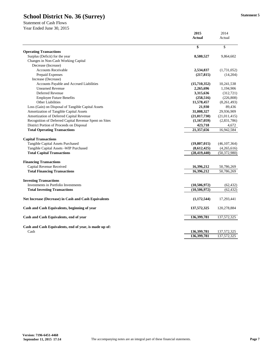|                                                             | 2015           | 2014           |
|-------------------------------------------------------------|----------------|----------------|
|                                                             | <b>Actual</b>  | Actual         |
|                                                             | \$             | \$             |
| <b>Operating Transactions</b>                               |                |                |
| Surplus (Deficit) for the year                              | 8,580,527      | 9,864,602      |
| Changes in Non-Cash Working Capital                         |                |                |
| Decrease (Increase)                                         |                |                |
| <b>Accounts Receivable</b>                                  | 2,534,837      | (1,731,052)    |
| Prepaid Expenses                                            | (217, 815)     | (14,204)       |
| Increase (Decrease)                                         |                |                |
| <b>Accounts Payable and Accrued Liabilities</b>             | (15,710,352)   | 10,241,538     |
| <b>Unearned Revenue</b>                                     | 2,265,696      | 1,194,906      |
| <b>Deferred Revenue</b>                                     | 3,315,636      | (312, 721)     |
| <b>Employee Future Benefits</b>                             | (258, 516)     | (226, 808)     |
| <b>Other Liabilities</b>                                    | 11,578,457     | (8,261,493)    |
| Loss (Gain) on Disposal of Tangible Capital Assets          | 21,930         | 89,436         |
| Amortization of Tangible Capital Assets                     | 31,008,327     | 29,936,909     |
| Amortization of Deferred Capital Revenue                    | (21,017,730)   | (21,011,415)   |
| Recognition of Deferred Capital Revenue Spent on Sites      | (1,167,059)    | (2,831,786)    |
| District Portion of Proceeds on Disposal                    | 423,718        | 4,672          |
| <b>Total Operating Transactions</b>                         | 21,357,656     | 16,942,584     |
| <b>Capital Transactions</b>                                 |                |                |
| <b>Tangible Capital Assets Purchased</b>                    | (19,807,015)   | (46, 107, 364) |
| Tangible Capital Assets - WIP Purchased                     | (8,612,425)    | (4,265,616)    |
| <b>Total Capital Transactions</b>                           | (28, 419, 440) | (50, 372, 980) |
| <b>Financing Transactions</b>                               |                |                |
| Capital Revenue Received                                    | 16,396,212     | 50,786,269     |
| <b>Total Financing Transactions</b>                         | 16,396,212     | 50,786,269     |
|                                                             |                |                |
| <b>Investing Transactions</b>                               |                |                |
| <b>Investments in Portfolio Investments</b>                 | (10,506,972)   | (62, 432)      |
| <b>Total Investing Transactions</b>                         | (10, 506, 972) | (62, 432)      |
| <b>Net Increase (Decrease) in Cash and Cash Equivalents</b> | (1, 172, 544)  | 17,293,441     |
| Cash and Cash Equivalents, beginning of year                | 137,572,325    | 120,278,884    |
| Cash and Cash Equivalents, end of year                      | 136,399,781    | 137,572,325    |
| Cash and Cash Equivalents, end of year, is made up of:      |                |                |
| Cash                                                        | 136,399,781    | 137, 572, 325  |
|                                                             | 136,399,781    | 137, 572, 325  |

Statement of Cash Flows Year Ended June 30, 2015

**Version: 7196-6451-4468**

**September 11, 2015 17:14** The accompanying notes are an integral part of these financial statements. Page 7

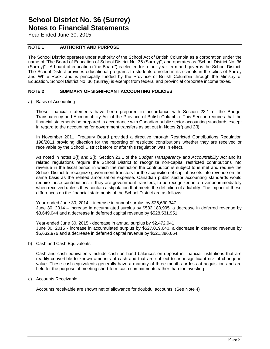Year Ended June 30, 2015

### **NOTE 1 AUTHORITY AND PURPOSE**

The School District operates under authority of the School Act of British Columbia as a corporation under the name of "The Board of Education of School District No. 36 (Surrey)", and operates as "School District No. 36 (Surrey)". A board of education ("the Board") is elected for a four-year term and governs the School District. The School District provides educational programs to students enrolled in its schools in the cities of Surrey and White Rock, and is principally funded by the Province of British Columbia through the Ministry of Education. School District No. 36 (Surrey) is exempt from federal and provincial corporate income taxes.

#### **NOTE 2 SUMMARY OF SIGNIFICANT ACCOUNTING POLICIES**

a) Basis of Accounting

These financial statements have been prepared in accordance with Section 23.1 of the Budget Transparency and Accountability Act of the Province of British Columbia. This Section requires that the financial statements be prepared in accordance with Canadian public sector accounting standards except in regard to the accounting for government transfers as set out in Notes 2(f) and 2(l).

In November 2011, Treasury Board provided a directive through Restricted Contributions Regulation 198/2011 providing direction for the reporting of restricted contributions whether they are received or receivable by the School District before or after this regulation was in effect.

As noted in notes 2(f) and 2(l), Section 23.1 of the *Budget Transparency and Accountability Act* and its related regulations require the School District to recognize non-capital restricted contributions into revenue in the fiscal period in which the restriction the contribution is subject to is met and require the School District to recognize government transfers for the acquisition of capital assets into revenue on the same basis as the related amortization expense. Canadian public sector accounting standards would require these contributions, if they are government transfers, to be recognized into revenue immediately when received unless they contain a stipulation that meets the definition of a liability. The impact of these differences on the financial statements of the School District are as follows:

Year-ended June 30, 2014 – increase in annual surplus by \$26,630,347 June 30, 2014 – increase in accumulated surplus by \$532,180,995, a decrease in deferred revenue by \$3,649,044 and a decrease in deferred capital revenue by \$528,531,951.

Year-ended June 30, 2015 - decrease in annual surplus by \$2,472,941 June 30, 2015 - increase in accumulated surplus by \$527,019,640, a decrease in deferred revenue by \$5,632,976 and a decrease in deferred capital revenue by \$521,386,664.

b) Cash and Cash Equivalents

Cash and cash equivalents include cash on hand balances on deposit in financial institutions that are readily convertible to known amounts of cash and that are subject to an insignificant risk of change in value. These cash equivalents generally have a maturity of three months or less at acquisition and are held for the purpose of meeting short-term cash commitments rather than for investing.

c) Accounts Receivable

Accounts receivable are shown net of allowance for doubtful accounts. (See Note 4)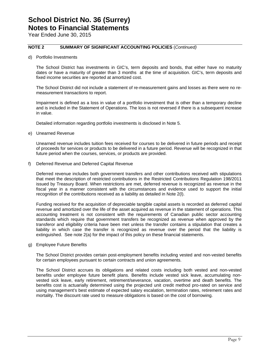Year Ended June 30, 2015

#### **NOTE 2 SUMMARY OF SIGNIFICANT ACCOUNTING POLICIES** (*Continued)*

d) Portfolio Investments

The School District has investments in GIC's, term deposits and bonds, that either have no maturity dates or have a maturity of greater than 3 months at the time of acquisition. GIC's, term deposits and fixed income securities are reported at amortized cost.

The School District did not include a statement of re-measurement gains and losses as there were no remeasurement transactions to report.

Impairment is defined as a loss in value of a portfolio investment that is other than a temporary decline and is included in the Statement of Operations. The loss is not reversed if there is a subsequent increase in value.

Detailed information regarding portfolio investments is disclosed in Note 5.

e) Unearned Revenue

Unearned revenue includes tuition fees received for courses to be delivered in future periods and receipt of proceeds for services or products to be delivered in a future period. Revenue will be recognized in that future period when the courses, services, or products are provided.

f) Deferred Revenue and Deferred Capital Revenue

Deferred revenue includes both government transfers and other contributions received with stipulations that meet the description of restricted contributions in the Restricted Contributions Regulation 198/2011 issued by Treasury Board. When restrictions are met, deferred revenue is recognized as revenue in the fiscal year in a manner consistent with the circumstances and evidence used to support the initial recognition of the contributions received as a liability as detailed in Note 2(l).

Funding received for the acquisition of depreciable tangible capital assets is recorded as deferred capital revenue and amortized over the life of the asset acquired as revenue in the statement of operations. This accounting treatment is not consistent with the requirements of Canadian public sector accounting standards which require that government transfers be recognized as revenue when approved by the transferor and eligibility criteria have been met unless the transfer contains a stipulation that creates a liability in which case the transfer is recognized as revenue over the period that the liability is extinguished. See note 2(a) for the impact of this policy on these financial statements.

g) Employee Future Benefits

The School District provides certain post-employment benefits including vested and non-vested benefits for certain employees pursuant to certain contracts and union agreements.

The School District accrues its obligations and related costs including both vested and non-vested benefits under employee future benefit plans. Benefits include vested sick leave, accumulating nonvested sick leave, early retirement, retirement/severance, vacation, overtime and death benefits. The benefits cost is actuarially determined using the projected unit credit method pro-rated on service and using management's best estimate of expected salary escalation, termination rates, retirement rates and mortality. The discount rate used to measure obligations is based on the cost of borrowing.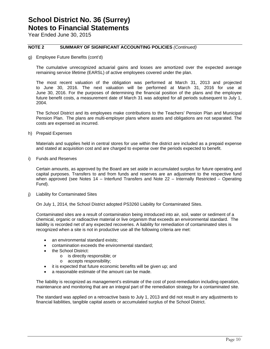Year Ended June 30, 2015

#### **NOTE 2 SUMMARY OF SIGNIFICANT ACCOUNTING POLICIES** *(Continued)*

g) Employee Future Benefits (cont'd)

The cumulative unrecognized actuarial gains and losses are amortized over the expected average remaining service lifetime (EARSL) of active employees covered under the plan.

The most recent valuation of the obligation was performed at March 31, 2013 and projected to June 30, 2016. The next valuation will be performed at March 31, 2016 for use at June 30, 2016. For the purposes of determining the financial position of the plans and the employee future benefit costs, a measurement date of March 31 was adopted for all periods subsequent to July 1, 2004.

The School District and its employees make contributions to the Teachers' Pension Plan and Municipal Pension Plan. The plans are multi-employer plans where assets and obligations are not separated. The costs are expensed as incurred.

h) Prepaid Expenses

Materials and supplies held in central stores for use within the district are included as a prepaid expense and stated at acquisition cost and are charged to expense over the periods expected to benefit.

i) Funds and Reserves

Certain amounts, as approved by the Board are set aside in accumulated surplus for future operating and capital purposes. Transfers to and from funds and reserves are an adjustment to the respective fund when approved (see Notes 14 – Interfund Transfers and Note 22 – Internally Restricted – Operating Fund).

j) Liability for Contaminated Sites

On July 1, 2014, the School District adopted PS3260 Liability for Contaminated Sites.

Contaminated sites are a result of contamination being introduced into air, soil, water or sediment of a chemical, organic or radioactive material or live organism that exceeds an environmental standard. The liability is recorded net of any expected recoveries. A liability for remediation of contaminated sites is recognized when a site is not in productive use all the following criteria are met:

- an environmental standard exists;
- contamination exceeds the environmental standard;
- the School District:
	- o is directly responsible; or
	- o accepts responsibility;
- it is expected that future economic benefits will be given up; and
- a reasonable estimate of the amount can be made.

 The liability is recognized as management's estimate of the cost of post-remediation including operation, maintenance and monitoring that are an integral part of the remediation strategy for a contaminated site.

The standard was applied on a retroactive basis to July 1, 2013 and did not result in any adjustments to financial liabilities, tangible capital assets or accumulated surplus of the School District.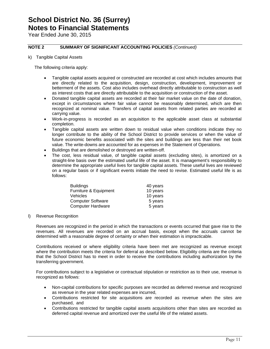Year Ended June 30, 2015

### **NOTE 2 SUMMARY OF SIGNIFICANT ACCOUNTING POLICIES** *(Continued)*

k) Tangible Capital Assets

The following criteria apply:

- Tangible capital assets acquired or constructed are recorded at cost which includes amounts that are directly related to the acquisition, design, construction, development, improvement or betterment of the assets. Cost also includes overhead directly attributable to construction as well as interest costs that are directly attributable to the acquisition or construction of the asset.
- Donated tangible capital assets are recorded at their fair market value on the date of donation, except in circumstances where fair value cannot be reasonably determined, which are then recognized at nominal value. Transfers of capital assets from related parties are recorded at carrying value.
- Work-in-progress is recorded as an acquisition to the applicable asset class at substantial completion.
- Tangible capital assets are written down to residual value when conditions indicate they no longer contribute to the ability of the School District to provide services or when the value of future economic benefits associated with the sites and buildings are less than their net book value. The write-downs are accounted for as expenses in the Statement of Operations.
- Buildings that are demolished or destroyed are written-off.
- The cost, less residual value, of tangible capital assets (excluding sites), is amortized on a straight-line basis over the estimated useful life of the asset. It is management's responsibility to determine the appropriate useful lives for tangible capital assets. These useful lives are reviewed on a regular basis or if significant events initiate the need to revise. Estimated useful life is as follows:

| <b>Buildings</b>         | 40 years |
|--------------------------|----------|
| Furniture & Equipment    | 10 years |
| <b>Vehicles</b>          | 10 years |
| <b>Computer Software</b> | 5 years  |
| <b>Computer Hardware</b> | 5 years  |

#### l) Revenue Recognition

Revenues are recognized in the period in which the transactions or events occurred that gave rise to the revenues. All revenues are recorded on an accrual basis, except when the accruals cannot be determined with a reasonable degree of certainty or when their estimation is impracticable.

Contributions received or where eligibility criteria have been met are recognized as revenue except where the contribution meets the criteria for deferral as described below. Eligibility criteria are the criteria that the School District has to meet in order to receive the contributions including authorization by the transferring government.

For contributions subject to a legislative or contractual stipulation or restriction as to their use, revenue is recognized as follows:

- Non-capital contributions for specific purposes are recorded as deferred revenue and recognized as revenue in the year related expenses are incurred,
- Contributions restricted for site acquisitions are recorded as revenue when the sites are purchased, and
- Contributions restricted for tangible capital assets acquisitions other than sites are recorded as deferred capital revenue and amortized over the useful life of the related assets.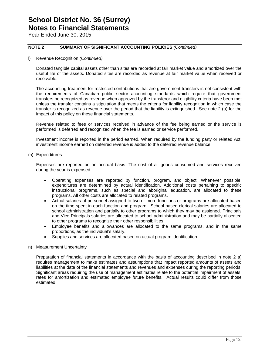Year Ended June 30, 2015

### **NOTE 2 SUMMARY OF SIGNIFICANT ACCOUNTING POLICIES** *(Continued)*

l) Revenue Recognition *(Continued)*

Donated tangible capital assets other than sites are recorded at fair market value and amortized over the useful life of the assets. Donated sites are recorded as revenue at fair market value when received or receivable.

The accounting treatment for restricted contributions that are government transfers is not consistent with the requirements of Canadian public sector accounting standards which require that government transfers be recognized as revenue when approved by the transferor and eligibility criteria have been met unless the transfer contains a stipulation that meets the criteria for liability recognition in which case the transfer is recognized as revenue over the period that the liability is extinguished. See note 2 (a) for the impact of this policy on these financial statements.

Revenue related to fees or services received in advance of the fee being earned or the service is performed is deferred and recognized when the fee is earned or service performed.

Investment income is reported in the period earned. When required by the funding party or related Act, investment income earned on deferred revenue is added to the deferred revenue balance.

m) Expenditures

Expenses are reported on an accrual basis. The cost of all goods consumed and services received during the year is expensed.

- Operating expenses are reported by function, program, and object. Whenever possible, expenditures are determined by actual identification. Additional costs pertaining to specific instructional programs, such as special and aboriginal education, are allocated to these programs. All other costs are allocated to related programs.
- Actual salaries of personnel assigned to two or more functions or programs are allocated based on the time spent in each function and program. School-based clerical salaries are allocated to school administration and partially to other programs to which they may be assigned. Principals and Vice-Principals salaries are allocated to school administration and may be partially allocated to other programs to recognize their other responsibilities.
- Employee benefits and allowances are allocated to the same programs, and in the same proportions, as the individual's salary.
- Supplies and services are allocated based on actual program identification.

#### n) Measurement Uncertainty

Preparation of financial statements in accordance with the basis of accounting described in note 2 a) requires management to make estimates and assumptions that impact reported amounts of assets and liabilities at the date of the financial statements and revenues and expenses during the reporting periods. Significant areas requiring the use of management estimates relate to the potential impairment of assets, rates for amortization and estimated employee future benefits. Actual results could differ from those estimated.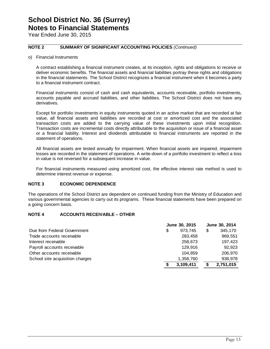Year Ended June 30, 2015

### **NOTE 2 SUMMARY OF SIGNIFICANT ACCOUNTING POLICIES** *(Continued)*

o) Financial Instruments

A contract establishing a financial instrument creates, at its inception, rights and obligations to receive or deliver economic benefits. The financial assets and financial liabilities portray these rights and obligations in the financial statements. The School District recognizes a financial instrument when it becomes a party to a financial instrument contract.

Financial instruments consist of cash and cash equivalents, accounts receivable, portfolio investments, accounts payable and accrued liabilities, and other liabilities. The School District does not have any derivatives.

Except for portfolio investments in equity instruments quoted in an active market that are recorded at fair value, all financial assets and liabilities are recorded at cost or amortized cost and the associated transaction costs are added to the carrying value of these investments upon initial recognition. Transaction costs are incremental costs directly attributable to the acquisition or issue of a financial asset or a financial liability. Interest and dividends attributable to financial instruments are reported in the statement of operations.

All financial assets are tested annually for impairment. When financial assets are impaired, impairment losses are recorded in the statement of operations. A write-down of a portfolio investment to reflect a loss in value is not reversed for a subsequent increase in value.

For financial instruments measured using amortized cost, the effective interest rate method is used to determine interest revenue or expense.

### **NOTE 3 ECONOMIC DEPENDENCE**

The operations of the School District are dependent on continued funding from the Ministry of Education and various governmental agencies to carry out its programs. These financial statements have been prepared on a going concern basis.

#### **NOTE 4 ACCOUNTS RECEIVABLE – OTHER**

|                                 |   | June 30, 2015 |   | June 30, 2014 |
|---------------------------------|---|---------------|---|---------------|
| Due from Federal Government     | S | 973.745       | S | 345.170       |
| Trade accounts receivable       |   | 283.458       |   | 969,551       |
| Interest receivable             |   | 258.673       |   | 197,423       |
| Payroll accounts receivable     |   | 129.916       |   | 92,923        |
| Other accounts receivable       |   | 104.859       |   | 206.970       |
| School site acquisition charges |   | 1,358,760     |   | 938,978       |
|                                 |   | 3,109,411     |   | 2,751,015     |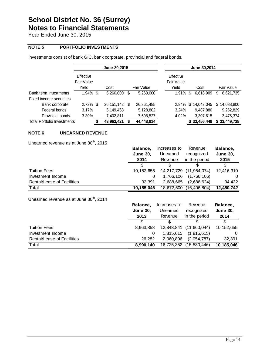Year Ended June 30, 2015

### **NOTE 5 PORTFOLIO INVESTMENTS**

Investments consist of bank GIC, bank corporate, provincial and federal bonds.

|                                    |                         | June 30,2015 |   |            |                         | June 30,2014       |    |              |
|------------------------------------|-------------------------|--------------|---|------------|-------------------------|--------------------|----|--------------|
|                                    | Effective<br>Fair Value |              |   |            | Effective<br>Fair Value |                    |    |              |
|                                    | Yield                   | Cost         |   | Fair Value | Yield                   | Cost               |    | Fair Value   |
| Bank term investments              | $1.94\%$ \$             | 5,260,000    | S | 5,260,000  | $1.91\%$ \$             | 6,618,909          | S  | 6,621,735    |
| Fixed income securities            |                         |              |   |            |                         |                    |    |              |
| Bank corporate                     | $2.72\%$ \$             | 26, 151, 142 | S | 26,361,485 |                         | 2.94% \$14,042,045 | \$ | 14,088,800   |
| Federal bonds                      | 3.17%                   | 5,149,468    |   | 5,128,802  | 3.24%                   | 9.487.880          |    | 9,262,829    |
| Provincial bonds                   | 3.30%                   | 7,402,811    |   | 7,698,527  | 4.02%                   | 3,307,615          |    | 3,476,374    |
| <b>Total Portfolio Investments</b> |                         | 43,963,421   |   | 44,448,814 |                         | \$33,456,449       |    | \$33,449,738 |

#### **NOTE 6 UNEARNED REVENUE**

Unearned revenue as at June 30<sup>th</sup>, 2015

|                            | Balance,        | Increases to | Revenue                 | Balance,        |
|----------------------------|-----------------|--------------|-------------------------|-----------------|
|                            | <b>June 30.</b> | Unearned     | recognized              | <b>June 30,</b> |
|                            | 2014            | Revenue      | in the period           | 2015            |
|                            |                 |              |                         |                 |
| <b>Tuition Fees</b>        | 10.152.655      |              | 14,217,729 (11,954,074) | 12,416,310      |
| Investment Income          | 0               | 1,766,106    | (1,766,106)             |                 |
| Rental/Lease of Facilities | 32.391          | 2.688.665    | (2,686,624)             | 34,432          |
| Total                      | 10,185,046      | 18,672,500   | (16, 406, 804)          | 12,450,742      |

Unearned revenue as at June 30<sup>th</sup>, 2014

|                            | Balance,        | Increases to | Revenue       | Balance,        |
|----------------------------|-----------------|--------------|---------------|-----------------|
|                            | <b>June 30,</b> | Unearned     | recognized    | <b>June 30,</b> |
|                            | 2013            | Revenue      | in the period | 2014            |
|                            |                 |              |               | \$              |
| <b>Tuition Fees</b>        | 8.963.858       | 12,848,841   | (11,660,044)  | 10, 152, 655    |
| Investment Income          | 0               | 1.815.615    | (1,815,615)   |                 |
| Rental/Lease of Facilities | 26.282          | 2,060,896    | (2,054,787)   | 32,391          |
| Total                      | 8,990,140       | 16,725,352   | (15,530,446)  | 10,185,046      |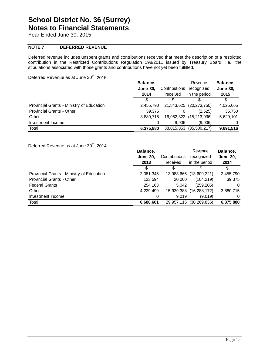Year Ended June 30, 2015

### **NOTE 7 DEFERRED REVENUE**

Deferred revenue includes unspent grants and contributions received that meet the description of a restricted contribution in the Restricted Contributions Regulation 198/2011 issued by Treasury Board, i.e., the stipulations associated with those grants and contributions have not yet been fulfilled.

Deferred Revenue as at June 30<sup>th</sup>, 2015

| $D$ order that is a contracted at barror $D$ . Let $D$ | Balance,<br><b>June 30.</b><br>2014 | Contributions<br>received | Revenue<br>recognized<br>in the period | Balance,<br><b>June 30,</b><br>2015 |
|--------------------------------------------------------|-------------------------------------|---------------------------|----------------------------------------|-------------------------------------|
|                                                        |                                     |                           |                                        | \$                                  |
| Provincial Grants - Ministry of Education              | 2,455,790                           |                           | 21,843,625 (20,273,750)                | 4,025,665                           |
| <b>Provincial Grants - Other</b>                       | 39.375                              | 0                         | (2.625)                                | 36,750                              |
| Other                                                  | 3.880.715                           |                           | 16,962,322 (15,213,936)                | 5,629,101                           |
| Investment Income                                      |                                     | 9.906                     | (9.906)                                |                                     |
| Total                                                  | 6.375.880                           | 38,815,853                | (35,500,217)                           | 9,691,516                           |

### Deferred Revenue as at June 30<sup>th</sup>, 2014

|                                           | Balance,        |               | Revenue        | Balance,        |
|-------------------------------------------|-----------------|---------------|----------------|-----------------|
|                                           | <b>June 30,</b> | Contributions | recognized     | <b>June 30,</b> |
|                                           | 2013            | received      | in the period  | 2014            |
|                                           |                 |               |                |                 |
| Provincial Grants - Ministry of Education | 2,081,345       | 13,983,666    | (13,609,221)   | 2,455,790       |
| <b>Provincial Grants - Other</b>          | 123,594         | 20,000        | (104, 219)     | 39,375          |
| <b>Federal Grants</b>                     | 254,163         | 5,042         | (259, 205)     | 0               |
| Other                                     | 4,229,499       | 15,939,388    | (16, 288, 172) | 3,880,715       |
| Investment Income                         |                 | 9.019         | (9,019)        | 0               |
| Total                                     | 6,688,601       | 29,957,115    | (30.269.836)   | 6,375,880       |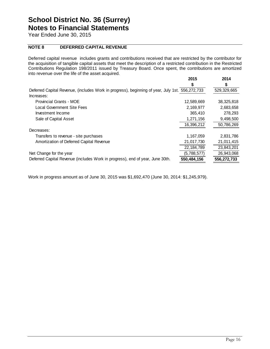Year Ended June 30, 2015

### **NOTE 8 DEFERRED CAPITAL REVENUE**

Deferred capital revenue includes grants and contributions received that are restricted by the contributor for the acquisition of tangible capital assets that meet the description of a restricted contribution in the Restricted Contributions Regulation 198/2011 issued by Treasury Board. Once spent, the contributions are amortized into revenue over the life of the asset acquired.

|                                                                                                 | 2015        | 2014        |
|-------------------------------------------------------------------------------------------------|-------------|-------------|
|                                                                                                 |             |             |
| Deferred Capital Revenue, (includes Work in progress), beginning of year, July 1st. 556,272,733 |             | 529,329,665 |
| Increases:                                                                                      |             |             |
| <b>Provincial Grants - MOE</b>                                                                  | 12,589,669  | 38,325,818  |
| Local Government Site Fees                                                                      | 2,169,977   | 2,683,658   |
| Investment Income                                                                               | 365,410     | 278,293     |
| Sale of Capital Asset                                                                           | 1,271,156   | 9,498,500   |
|                                                                                                 | 16,396,212  | 50,786,269  |
| Decreases:                                                                                      |             |             |
| Transfers to revenue - site purchases                                                           | 1,167,059   | 2,831,786   |
| Amortization of Deferred Capital Revenue                                                        | 21,017,730  | 21,011,415  |
|                                                                                                 | 22,184,789  | 23,843,201  |
| Net Change for the year                                                                         | (5,788,577) | 26,943,068  |
| Deferred Capital Revenue (includes Work in progress), end of year, June 30th.                   | 550,484,156 | 556,272,733 |

Work in progress amount as of June 30, 2015 was \$1,692,470 (June 30, 2014: \$1,245,979).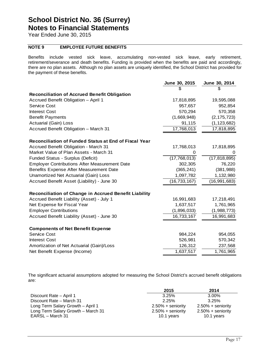Year Ended June 30, 2015

### **NOTE 9 EMPLOYEE FUTURE BENEFITS**

Benefits include vested sick leave, accumulating non-vested sick leave, early retirement, retirement/severance and death benefits. Funding is provided when the benefits are paid and accordingly, there are no plan assets. Although no plan assets are uniquely identified, the School District has provided for the payment of these benefits.

|                                                              | June 30, 2015  | June 30, 2014          |
|--------------------------------------------------------------|----------------|------------------------|
|                                                              |                |                        |
| <b>Reconciliation of Accrued Benefit Obligation</b>          |                |                        |
| Accrued Benefit Obligation - April 1                         | 17,818,895     | 19,595,088             |
| Service Cost                                                 | 957,657        | 952,854                |
| <b>Interest Cost</b>                                         | 570,294        | 570,358                |
| <b>Benefit Payments</b>                                      | (1,669,948)    | (2, 175, 723)          |
| Actuarial (Gain) Loss                                        | 91,115         | (1, 123, 682)          |
| Accrued Benefit Obligation - March 31                        | 17,768,013     | 17,818,895             |
| <b>Reconciliation of Funded Status at End of Fiscal Year</b> |                |                        |
| Accrued Benefit Obligation - March 31                        | 17,768,013     | 17,818,895             |
| Market Value of Plan Assets - March 31                       | 0              | 0                      |
| Funded Status - Surplus (Deficit)                            | (17, 768, 013) | (17, 818, 895)         |
| <b>Employer Contributions After Measurement Date</b>         | 302,305        | 76,220                 |
| Benefits Expense After Measurement Date                      | (365, 241)     | (381, 988)             |
| <b>Unamortized Net Actuarial (Gain) Loss</b>                 | 1,097,782      | 1,132,980              |
| Accrued Benefit Asset (Liability) - June 30                  | (16, 733, 167) | (16,991,683)           |
| Reconciliation of Change in Accrued Benefit Liability        |                |                        |
| Accrued Benefit Liability (Asset) - July 1                   | 16,991,683     | 17,218,491             |
| Net Expense for Fiscal Year                                  | 1,637,517      | 1,761,965              |
| <b>Employer Contributions</b>                                | (1,896,033)    | (1,988,773)            |
| Accrued Benefit Liability (Asset) - June 30                  | 16,733,167     | 16,991,683             |
| <b>Components of Net Benefit Expense</b>                     |                |                        |
| <b>Service Cost</b>                                          | 984,224        | 954,055                |
| <b>Interest Cost</b>                                         | 526,981        | 570,342                |
| Amortization of Net Actuarial (Gain)/Loss                    | 126,312        | 237,568                |
| Net Benefit Expense (Income)                                 | 1,637,517      | $\overline{1,}761,965$ |
|                                                              |                |                        |

The significant actuarial assumptions adopted for measuring the School District's accrued benefit obligations are:

|                                    | 2015                 | 2014                 |
|------------------------------------|----------------------|----------------------|
| Discount Rate - April 1            | 3.25%                | 3.00%                |
| Discount Rate – March 31           | 2.25%                | 3.25%                |
| Long Term Salary Growth - April 1  | $2.50\% +$ seniority | $2.50\% +$ seniority |
| Long Term Salary Growth - March 31 | $2.50\% +$ seniority | $2.50\% +$ seniority |
| EARSL – March 31                   | 10.1 years           | 10.1 years           |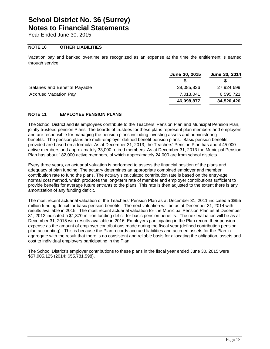Year Ended June 30, 2015

### **NOTE 10 OTHER LIABILITIES**

Vacation pay and banked overtime are recognized as an expense at the time the entitlement is earned through service.

|                               | June 30, 2015 | June 30, 2014 |
|-------------------------------|---------------|---------------|
|                               |               |               |
| Salaries and Benefits Payable | 39,085,836    | 27,924,699    |
| <b>Accrued Vacation Pay</b>   | 7,013,041     | 6,595,721     |
|                               | 46,098,877    | 34,520,420    |

### **NOTE 11 EMPLOYEE PENSION PLANS**

The School District and its employees contribute to the Teachers' Pension Plan and Municipal Pension Plan, jointly trusteed pension Plans. The boards of trustees for these plans represent plan members and employers and are responsible for managing the pension plans including investing assets and administering benefits. The pension plans are multi-employer defined benefit pension plans. Basic pension benefits provided are based on a formula. As at December 31, 2013, the Teachers' Pension Plan has about 45,000 active members and approximately 33,000 retired members. As at December 31, 2013 the Municipal Pension Plan has about 182,000 active members, of which approximately 24,000 are from school districts.

Every three years, an actuarial valuation is performed to assess the financial position of the plans and adequacy of plan funding. The actuary determines an appropriate combined employer and member contribution rate to fund the plans. The actuary's calculated contribution rate is based on the entry-age normal cost method, which produces the long-term rate of member and employer contributions sufficient to provide benefits for average future entrants to the plans. This rate is then adjusted to the extent there is any amortization of any funding deficit.

The most recent actuarial valuation of the Teachers' Pension Plan as at December 31, 2011 indicated a \$855 million funding deficit for basic pension benefits. The next valuation will be as at December 31, 2014 with results available in 2015. The most recent actuarial valuation for the Municipal Pension Plan as at December 31, 2012 indicated a \$1,370 million funding deficit for basic pension benefits. The next valuation will be as at December 31, 2015 with results available in 2016. Employers participating in the Plan record their pension expense as the amount of employer contributions made during the fiscal year (defined contribution pension plan accounting). This is because the Plan records accrued liabilities and accrued assets for the Plan in aggregate with the result that there is no consistent and reliable basis for allocating the obligation, assets and cost to individual employers participating in the Plan.

The School District's employer contributions to these plans in the fiscal year ended June 30, 2015 were \$57,905,125 (2014: \$55,781,598).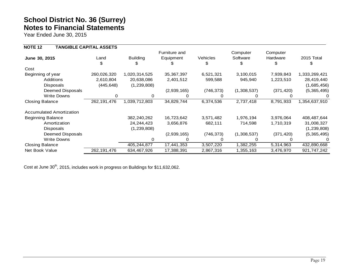Year Ended June 30, 2015

| <b>TANGIBLE CAPITAL ASSETS</b> |                 |               |            |             |            |               |
|--------------------------------|-----------------|---------------|------------|-------------|------------|---------------|
|                                |                 | Furniture and |            | Computer    | Computer   |               |
| Land                           | <b>Building</b> | Equipment     | Vehicles   | Software    | Hardware   | 2015 Total    |
| S                              |                 | Ж,            | S          |             |            |               |
|                                |                 |               |            |             |            |               |
| 260,026,320                    | 1,020,314,525   | 35, 367, 397  | 6,521,321  | 3,100,015   | 7,939,843  | 1,333,269,421 |
| 2,610,804                      | 20,638,086      | 2,401,512     | 599,588    | 945,940     | 1,223,510  | 28,419,440    |
| (445, 648)                     | (1,239,808)     |               |            |             |            | (1,685,456)   |
|                                |                 | (2,939,165)   | (746, 373) | (1,308,537) | (371, 420) | (5,365,495)   |
|                                |                 |               |            |             |            |               |
| 262, 191, 476                  | 1,039,712,803   | 34,829,744    | 6,374,536  | 2,737,418   | 8,791,933  | 1,354,637,910 |
|                                |                 |               |            |             |            |               |
|                                | 382,240,262     | 16,723,642    | 3,571,482  | 1,976,194   | 3,976,064  | 408,487,644   |
|                                | 24, 244, 423    | 3,656,876     | 682,111    | 714,598     | 1,710,319  | 31,008,327    |
|                                | (1, 239, 808)   |               |            |             |            | (1, 239, 808) |
|                                |                 | (2,939,165)   | (746, 373) | (1,308,537) | (371, 420) | (5,365,495)   |
|                                |                 |               |            |             |            |               |
|                                | 405,244,877     | 17,441,353    | 3,507,220  | 1,382,255   | 5,314,963  | 432,890,668   |
| 262,191,476                    | 634,467,926     | 17,388,391    | 2,867,316  | 1,355,163   | 3,476,970  | 921,747,242   |
|                                |                 |               |            |             |            |               |

Cost at June 30<sup>th</sup>, 2015, includes work in progress on Buildings for \$11,632,062.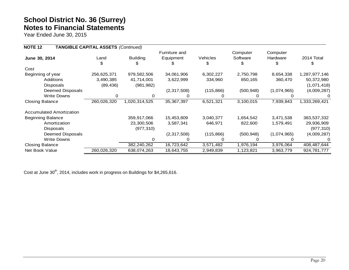Year Ended June 30, 2015

| <b>NOTE 12</b>           | <b>TANGIBLE CAPITAL ASSETS (Continued)</b> |                 |               |            |            |             |               |
|--------------------------|--------------------------------------------|-----------------|---------------|------------|------------|-------------|---------------|
|                          |                                            |                 | Furniture and |            | Computer   | Computer    |               |
| June 30, 2014            | Land                                       | <b>Building</b> | Equipment     | Vehicles   | Software   | Hardware    | 2014 Total    |
|                          |                                            | S               |               | \$         |            | \$          |               |
| Cost                     |                                            |                 |               |            |            |             |               |
| Beginning of year        | 256,625,371                                | 979,582,506     | 34,061,906    | 6,302,227  | 2,750,798  | 8,654,338   | 1,287,977,146 |
| <b>Additions</b>         | 3,490,385                                  | 41,714,001      | 3,622,999     | 334,960    | 850,165    | 360,470     | 50,372,980    |
| Disposals                | (89, 436)                                  | (981, 982)      |               |            |            |             | (1,071,418)   |
| Deemed Disposals         |                                            |                 | (2,317,508)   | (115, 866) | (500, 948) | (1,074,965) | (4,009,287)   |
| Write Downs              | 0                                          | 0               |               | 0          |            |             |               |
| <b>Closing Balance</b>   | 260,026,320                                | 1,020,314,525   | 35, 367, 397  | 6,521,321  | 3,100,015  | 7,939,843   | 1,333,269,421 |
| Accumulated Amortization |                                            |                 |               |            |            |             |               |
| <b>Beginning Balance</b> |                                            | 359,917,066     | 15,453,809    | 3,040,377  | 1,654,542  | 3,471,538   | 383,537,332   |
| Amortization             |                                            | 23,300,506      | 3,587,341     | 646,971    | 822,600    | 1,579,491   | 29,936,909    |
| <b>Disposals</b>         |                                            | (977, 310)      |               |            |            |             | (977, 310)    |
| Deemed Disposals         |                                            |                 | (2,317,508)   | (115, 866) | (500, 948) | (1,074,965) | (4,009,287)   |
| <b>Write Downs</b>       |                                            |                 |               |            |            |             |               |
| <b>Closing Balance</b>   |                                            | 382,240,262     | 16,723,642    | 3,571,482  | 1,976,194  | 3,976,064   | 408,487,644   |
| Net Book Value           | 260,026,320                                | 638,074,263     | 18,643,755    | 2,949,839  | 1,123,821  | 3,963,779   | 924,781,777   |

Cost at June 30<sup>th</sup>, 2014, includes work in progress on Buildings for \$4,265,616.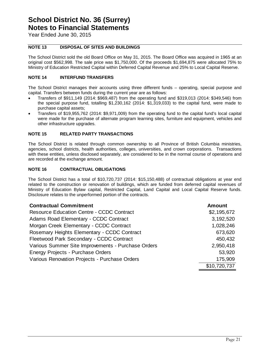Year Ended June 30, 2015

### **NOTE 13 DISPOSAL OF SITES AND BUILDINGS**

The School District sold the old Board Office on May 31, 2015. The Board Office was acquired in 1965 at an original cost \$562,998. The sale price was \$1,750,000. Of the proceeds \$1,694,875 were allocated 75% to Ministry of Education Restricted Capital within Deferred Capital Revenue and 25% to Local Capital Reserve.

### **NOTE 14 INTERFUND TRANSFERS**

The School District manages their accounts using three different funds – operating, special purpose and capital. Transfers between funds during the current year are as follows:

- Transfers of \$911,149 (2014: \$969,487) from the operating fund and \$319,013 (2014: \$349,546) from the special purpose fund, totalling \$1,230,162 (2014: \$1,319,033) to the capital fund, were made to purchase capital assets;
- Transfers of \$19,955,762 (2014: \$9,971,009) from the operating fund to the capital fund's local capital were made for the purchase of alternate program learning sites, furniture and equipment, vehicles and other infrastructure upgrades.

#### **NOTE 15 RELATED PARTY TRANSACTIONS**

The School District is related through common ownership to all Province of British Columbia ministries, agencies, school districts, health authorities, colleges, universities, and crown corporations. Transactions with these entities, unless disclosed separately, are considered to be in the normal course of operations and are recorded at the exchange amount.

#### **NOTE 16 CONTRACTUAL OBLIGATIONS**

The School District has a total of \$10,720,737 (2014: \$15,150,488) of contractual obligations at year end related to the construction or renovation of buildings, which are funded from deferred capital revenues of Ministry of Education Bylaw capital, Restricted Capital, Land Capital and Local Capital Reserve funds. Disclosure relates to the unperformed portion of the contracts.

| <b>Contractual Commitment</b>                      | <b>Amount</b> |
|----------------------------------------------------|---------------|
| <b>Resource Education Centre - CCDC Contract</b>   | \$2,195,672   |
| Adams Road Elementary - CCDC Contract              | 3,192,520     |
| Morgan Creek Elementary - CCDC Contract            | 1,028,246     |
| Rosemary Heights Elementary - CCDC Contract        | 673,620       |
| Fleetwood Park Secondary - CCDC Contract           | 450,432       |
| Various Summer Site Improvements - Purchase Orders | 2,950,418     |
| Energy Projects - Purchase Orders                  | 53,920        |
| Various Renovation Projects - Purchase Orders      | 175,909       |
|                                                    | \$10,720,737  |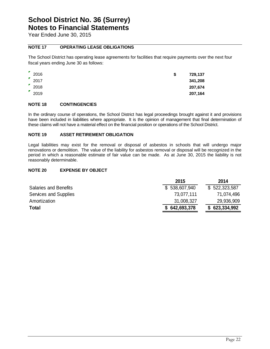Year Ended June 30, 2015

### **NOTE 17 OPERATING LEASE OBLIGATIONS**

The School District has operating lease agreements for facilities that require payments over the next four fiscal years ending June 30 as follows:

| T | 2016 | S | 729,137 |
|---|------|---|---------|
| T | 2017 |   | 341,208 |
| T | 2018 |   | 207,674 |
| F | 2019 |   | 207,164 |

#### **NOTE 18 CONTINGENCIES**

In the ordinary course of operations, the School District has legal proceedings brought against it and provisions have been included in liabilities where appropriate. It is the opinion of management that final determination of these claims will not have a material effect on the financial position or operations of the School District.

### **NOTE 19 ASSET RETIREMENT OBLIGATION**

Legal liabilities may exist for the removal or disposal of asbestos in schools that will undergo major renovations or demolition. The value of the liability for asbestos removal or disposal will be recognized in the period in which a reasonable estimate of fair value can be made. As at June 30, 2015 the liability is not reasonably determinable.

#### **NOTE 20 EXPENSE BY OBJECT**

|                              | 2015          | 2014          |
|------------------------------|---------------|---------------|
| <b>Salaries and Benefits</b> | \$538,607,940 | \$522,323,587 |
| Services and Supplies        | 73,077,111    | 71,074,496    |
| Amortization                 | 31,008,327    | 29,936,909    |
| <b>Total</b>                 | \$642,693,378 | \$623,334,992 |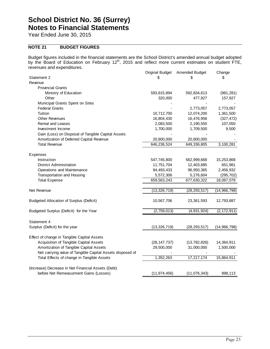Year Ended June 30, 2015

### **NOTE 21 BUDGET FIGURES**

Budget figures included in the financial statements are the School District's amended annual budget adopted by the Board of Education on February 12<sup>th</sup>, 2015 and reflect more current estimates on student FTE, revenues and expenditures.

|                                                           | Original Budget | Amended Budget | Change         |
|-----------------------------------------------------------|-----------------|----------------|----------------|
| Statement 2                                               | \$.             | S.             | \$             |
| Revenue                                                   |                 |                |                |
| <b>Provincial Grants</b>                                  |                 |                |                |
| Ministry of Education                                     | 593,815,894     | 592,834,613    | (981, 281)     |
| Other                                                     | 320,000         | 477,927        | 157,927        |
| Municipal Grants Spent on Sites                           |                 |                |                |
| <b>Federal Grants</b>                                     |                 | 2,773,057      | 2,773,057      |
| Tuition                                                   | 10,712,700      | 12,074,200     | 1,361,500      |
| <b>Other Revenues</b>                                     | 16,804,430      | 16,476,958     | (327, 472)     |
| Rental and Leases                                         | 2,083,500       | 2,190,550      | 107,050        |
| Investment Income                                         | 1,700,000       | 1,709,500      | 9,500          |
| Gain (Loss) on Disposal of Tangible Capital Assets        |                 |                |                |
| Amortization of Deferred Capital Revenue                  | 20,800,000      | 20,800,000     |                |
| <b>Total Revenue</b>                                      | 646,236,524     | 649,336,805    | 3,100,281      |
|                                                           |                 |                |                |
| Expenses                                                  |                 |                |                |
| Instruction                                               | 547,745,800     | 562,999,668    | 15,253,868     |
| <b>District Administration</b>                            | 11,751,704      | 12,403,685     | 651,981        |
| Operations and Maintenance                                | 94,493,433      | 96,950,365     | 2,456,932      |
| <b>Transportation and Housing</b>                         | 5,572,306       | 5,276,604      | (295, 702)     |
| <b>Total Expense</b>                                      | 659,563,243     | 677,630,322    | 18,067,079     |
|                                                           |                 |                |                |
| Net Revenue                                               | (13, 326, 719)  | (28, 293, 517) | (14, 966, 798) |
|                                                           |                 |                |                |
| <b>Budgeted Allocation of Surplus (Deficit)</b>           | 10,567,706      | 23,361,593     | 12,793,887     |
| Budgeted Surplus (Deficit) for the Year                   | (2,759,013)     | (4,931,924)    | (2, 172, 911)  |
|                                                           |                 |                |                |
| Statement 4                                               |                 |                |                |
| Surplus (Deficit) for the year                            | (13, 326, 719)  | (28, 293, 517) | (14,966,798)   |
|                                                           |                 |                |                |
| Effect of change in Tangible Capital Assets               |                 |                |                |
| Acquisition of Tangible Capital Assets                    | (28, 147, 737)  | (13,782,826)   | 14,364,911     |
| Amortization of Tangible Capital Assets                   | 29,500,000      | 31,000,000     | 1,500,000      |
| Net carrying value of Tangible Capital Assets disposed of |                 |                |                |
| Total Effects of change in Tangible Assets                | 1,352,263       | 17,217,174     | 15,864,911     |
|                                                           |                 |                |                |
| (Increase) Decrease in Net Financial Assets (Debt)        |                 |                |                |
| before Net Remeasurment Gains (Losses)                    | (11, 974, 456)  | (11, 076, 343) | 898,113        |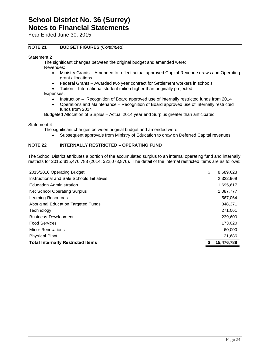Year Ended June 30, 2015

### **NOTE 21 BUDGET FIGURES** *(Continued)*

Statement 2

The significant changes between the original budget and amended were:

Revenues:

- Ministry Grants Amended to reflect actual approved Capital Revenue draws and Operating grant allocations
- Federal Grants Awarded two year contract for Settlement workers in schools
- Tuition International student tuition higher than originally projected

Expenses:

- Instruction Recognition of Board approved use of internally restricted funds from 2014
- Operations and Maintenance Recognition of Board approved use of internally restricted funds from 2014

Budgeted Allocation of Surplus – Actual 2014 year end Surplus greater than anticipated

Statement 4

The significant changes between original budget and amended were:

Subsequent approvals from Ministry of Education to draw on Deferred Capital revenues

### **NOTE 22 INTERNALLY RESTRICTED – OPERATING FUND**

The School District attributes a portion of the accumulated surplus to an internal operating fund and internally restricts for 2015: \$15,476,788 (2014: \$22,073,876). The detail of the internal restricted items are as follows:

| 2015/2016 Operating Budget                 | \$<br>8,689,623 |
|--------------------------------------------|-----------------|
| Instructional and Safe Schools Initiatives | 2,322,969       |
| <b>Education Administration</b>            | 1,695,617       |
| Net School Operating Surplus               | 1,087,777       |
| Learning Resources                         | 567,064         |
| Aboriginal Education Targeted Funds        | 348,371         |
| Technology                                 | 271,061         |
| <b>Business Development</b>                | 239,600         |
| <b>Food Services</b>                       | 173,020         |
| <b>Minor Renovations</b>                   | 60,000          |
| <b>Physical Plant</b>                      | 21,686          |
| <b>Total Internally Restricted Items</b>   | 15,476,788      |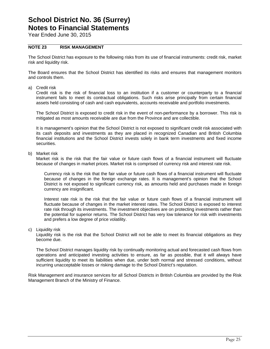Year Ended June 30, 2015

#### **NOTE 23 RISK MANAGEMENT**

The School District has exposure to the following risks from its use of financial instruments: credit risk, market risk and liquidity risk.

The Board ensures that the School District has identified its risks and ensures that management monitors and controls them.

a) Credit risk

Credit risk is the risk of financial loss to an institution if a customer or counterparty to a financial instrument fails to meet its contractual obligations. Such risks arise principally from certain financial assets held consisting of cash and cash equivalents, accounts receivable and portfolio investments.

The School District is exposed to credit risk in the event of non-performance by a borrower. This risk is mitigated as most amounts receivable are due from the Province and are collectible.

It is management's opinion that the School District is not exposed to significant credit risk associated with its cash deposits and investments as they are placed in recognized Canadian and British Columbia financial institutions and the School District invests solely in bank term investments and fixed income securities.

#### b) Market risk

Market risk is the risk that the fair value or future cash flows of a financial instrument will fluctuate because of changes in market prices. Market risk is comprised of currency risk and interest rate risk.

Currency risk is the risk that the fair value or future cash flows of a financial instrument will fluctuate because of changes in the foreign exchange rates. It is management's opinion that the School District is not exposed to significant currency risk, as amounts held and purchases made in foreign currency are insignificant.

Interest rate risk is the risk that the fair value or future cash flows of a financial instrument will fluctuate because of changes in the market interest rates. The School District is exposed to interest rate risk through its investments. The investment objectives are on protecting investments rather than the potential for superior returns. The School District has very low tolerance for risk with investments and prefers a low degree of price volatility.

#### c) Liquidity risk

Liquidity risk is the risk that the School District will not be able to meet its financial obligations as they become due.

The School District manages liquidity risk by continually monitoring actual and forecasted cash flows from operations and anticipated investing activities to ensure, as far as possible, that it will always have sufficient liquidity to meet its liabilities when due, under both normal and stressed conditions, without incurring unacceptable losses or risking damage to the School District's reputation.

Risk Management and insurance services for all School Districts in British Columbia are provided by the Risk Management Branch of the Ministry of Finance.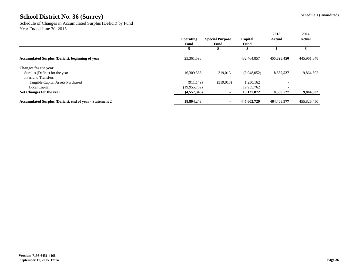Schedule of Changes in Accumulated Surplus (Deficit) by Fund Year Ended June 30, 2015

|                                                                 |                  |                |              | 2015                   | 2014        |               |        |
|-----------------------------------------------------------------|------------------|----------------|--------------|------------------------|-------------|---------------|--------|
|                                                                 | <b>Operating</b> |                |              | <b>Special Purpose</b> | Capital     | <b>Actual</b> | Actual |
|                                                                 | <b>Fund</b>      | Fund           | Fund         |                        |             |               |        |
|                                                                 | Φ<br>D           |                |              |                        |             |               |        |
| <b>Accumulated Surplus (Deficit), beginning of year</b>         | 23,361,593       |                | 432,464,857  | 455,826,450            | 445,961,848 |               |        |
| <b>Changes for the year</b>                                     |                  |                |              |                        |             |               |        |
| Surplus (Deficit) for the year                                  | 16,309,566       | 319,013        | (8,048,052)  | 8,580,527              | 9,864,602   |               |        |
| <b>Interfund Transfers</b>                                      |                  |                |              |                        |             |               |        |
| <b>Tangible Capital Assets Purchased</b>                        | (911, 149)       | (319,013)      | 1,230,162    |                        |             |               |        |
| Local Capital                                                   | (19,955,762)     |                | 19,955,762   |                        |             |               |        |
| Net Changes for the year                                        | (4,557,345)      | $\blacksquare$ | 13, 137, 872 | 8,580,527              | 9,864,602   |               |        |
| <b>Accumulated Surplus (Deficit), end of year - Statement 2</b> | 18,804,248       | $\blacksquare$ | 445,602,729  | 464,406,977            | 455,826,450 |               |        |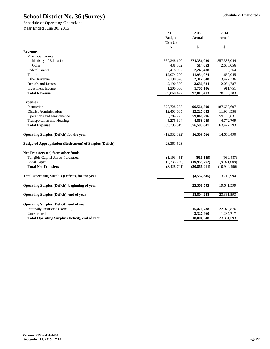|                                                                 | <b>Budget</b><br>(Note 21) | <b>Actual</b>  | Actual         |
|-----------------------------------------------------------------|----------------------------|----------------|----------------|
|                                                                 |                            |                |                |
|                                                                 |                            |                |                |
|                                                                 | \$                         | \$             | \$             |
| <b>Revenues</b>                                                 |                            |                |                |
| <b>Provincial Grants</b>                                        |                            |                |                |
| Ministry of Education                                           | 569,348,190                | 571,331,020    | 557,388,044    |
| Other                                                           | 438,552                    | 514,053        | 2,688,056      |
| <b>Federal Grants</b>                                           | 2,418,057                  | 2,249,488      | 8,264          |
| Tuition                                                         | 12,074,200                 | 11,954,074     | 11,660,045     |
| <b>Other Revenue</b>                                            | 2,190,878                  | 2,312,048      | 3,427,336      |
| <b>Rentals and Leases</b>                                       | 2,190,550                  | 2,686,624      | 2,054,787      |
| <b>Investment Income</b>                                        | 1,200,000                  | 1,766,106      | 911,751        |
| <b>Total Revenue</b>                                            | 589,860,427                | 592,813,413    | 578,138,283    |
| <b>Expenses</b>                                                 |                            |                |                |
| Instruction                                                     | 528,728,255                | 499,561,509    | 487,669,697    |
| <b>District Administration</b>                                  | 12,403,685                 | 12,227,053     | 11,934,556     |
| <b>Operations and Maintenance</b>                               | 63,384,775                 | 59,846,296     | 59,100,831     |
| <b>Transportation and Housing</b>                               | 5,276,604                  | 4,868,989      | 4,772,709      |
| <b>Total Expense</b>                                            | 609,793,319                | 576,503,847    | 563,477,793    |
|                                                                 |                            |                |                |
| <b>Operating Surplus (Deficit) for the year</b>                 | (19, 932, 892)             | 16,309,566     | 14,660,490     |
| <b>Budgeted Appropriation (Retirement) of Surplus (Deficit)</b> | 23,361,593                 |                |                |
| Net Transfers (to) from other funds                             |                            |                |                |
| <b>Tangible Capital Assets Purchased</b>                        | (1,193,451)                | (911, 149)     | (969, 487)     |
| Local Capital                                                   | (2,235,250)                | (19,955,762)   | (9,971,009)    |
| <b>Total Net Transfers</b>                                      | (3,428,701)                | (20, 866, 911) | (10, 940, 496) |
| <b>Total Operating Surplus (Deficit), for the year</b>          |                            | (4, 557, 345)  | 3,719,994      |
| <b>Operating Surplus (Deficit), beginning of year</b>           |                            | 23,361,593     | 19,641,599     |
| <b>Operating Surplus (Deficit), end of year</b>                 |                            | 18,804,248     | 23,361,593     |
| <b>Operating Surplus (Deficit), end of year</b>                 |                            |                |                |
| Internally Restricted (Note 22)                                 |                            | 15,476,788     | 22,073,876     |
| Unrestricted                                                    |                            | 3,327,460      | 1,287,717      |
| <b>Total Operating Surplus (Deficit), end of year</b>           |                            | 18,804,248     | 23,361,593     |

Schedule of Operating Operations Year Ended June 30, 2015

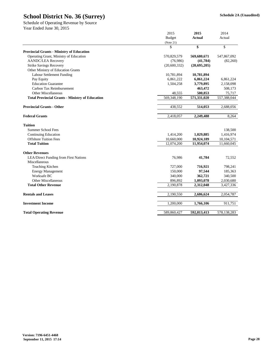|                                                        | 2015          | 2015           | 2014        |
|--------------------------------------------------------|---------------|----------------|-------------|
|                                                        | <b>Budget</b> | <b>Actual</b>  | Actual      |
|                                                        | (Note 21)     |                |             |
|                                                        | \$            | \$             | \$          |
| <b>Provincial Grants - Ministry of Education</b>       |               |                |             |
| Operating Grant, Ministry of Education                 | 570,829,579   | 569,680,671    | 547,867,092 |
| <b>AANDC/LEA Recovery</b>                              | (76,986)      | (41,784)       | (82,260)    |
| <b>Strike Savings Recovery</b>                         | (20,600,332)  | (20, 695, 205) |             |
| <b>Other Ministry of Education Grants</b>              |               |                |             |
| <b>Labour Settlement Funding</b>                       | 10,781,894    | 10,781,894     |             |
| Pay Equity                                             | 6,861,222     | 6,861,224      | 6,861,224   |
| <b>Education Guarantee</b>                             | 1,504,258     | 3,779,895      | 2,158,098   |
| Carbon Tax Reimbursement                               |               | 463,472        | 508,173     |
| <b>Other Miscellaneous</b>                             | 48,555        | 500,853        | 75,717      |
| <b>Total Provincial Grants - Ministry of Education</b> | 569,348,190   | 571,331,020    | 557,388,044 |
|                                                        |               |                |             |
| <b>Provincial Grants - Other</b>                       | 438,552       | 514,053        | 2,688,056   |
|                                                        |               |                |             |
| <b>Federal Grants</b>                                  | 2,418,057     | 2,249,488      | 8,264       |
| <b>Tuition</b>                                         |               |                |             |
| <b>Summer School Fees</b>                              |               |                | 138,500     |
| <b>Continuing Education</b>                            | 1,414,200     | 1,029,885      | 1,416,974   |
| <b>Offshore Tuition Fees</b>                           | 10,660,000    | 10,924,189     | 10,104,571  |
| <b>Total Tuition</b>                                   | 12,074,200    | 11,954,074     | 11,660,045  |
| <b>Other Revenues</b>                                  |               |                |             |
| LEA/Direct Funding from First Nations                  | 76,986        | 41,784         | 72,552      |
| Miscellaneous                                          |               |                |             |
| <b>Teaching Kitchen</b>                                | 727,000       | 716,921        | 798,241     |
| <b>Energy Management</b>                               | 150,000       | 97,544         | 185,363     |
| Worksafe BC                                            | 340,000       | 362,721        | 340,500     |
| <b>Other Miscellaneous</b>                             | 896,892       | 1,093,078      | 2,030,680   |
| <b>Total Other Revenue</b>                             | 2,190,878     | 2,312,048      | 3,427,336   |
|                                                        |               |                |             |
| <b>Rentals and Leases</b>                              | 2,190,550     | 2,686,624      | 2,054,787   |
| <b>Investment Income</b>                               | 1,200,000     | 1,766,106      | 911,751     |
|                                                        |               |                |             |
| <b>Total Operating Revenue</b>                         | 589,860,427   | 592,813,413    | 578,138,283 |

Schedule of Operating Revenue by Source Year Ended June 30, 2015

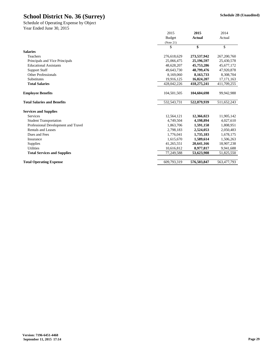|                                     | 2015          |               | 2014          |
|-------------------------------------|---------------|---------------|---------------|
|                                     | <b>Budget</b> | <b>Actual</b> | Actual        |
|                                     | (Note 21)     |               |               |
|                                     | \$            | \$            | \$            |
| <b>Salaries</b>                     |               |               |               |
| Teachers                            | 276,618,629   | 273,537,942   | 267, 200, 760 |
| Principals and Vice Principals      | 25,066,475    | 25,196,597    | 25,430,578    |
| <b>Educational Assistants</b>       | 48,628,207    | 45,753,286    | 45,677,172    |
| <b>Support Staff</b>                | 49,643,730    | 48,799,476    | 47,920,878    |
| <b>Other Professionals</b>          | 8,169,060     | 8,163,733     | 8,308,704     |
| Substitutes                         | 19,916,125    | 16,824,207    | 17, 171, 163  |
| <b>Total Salaries</b>               | 428,042,226   | 418,275,241   | 411,709,255   |
| <b>Employee Benefits</b>            | 104,501,505   | 104,604,698   | 99,942,988    |
| <b>Total Salaries and Benefits</b>  | 532, 543, 731 | 522,879,939   | 511,652,243   |
| <b>Services and Supplies</b>        |               |               |               |
| <b>Services</b>                     | 12,564,121    | 12,366,023    | 11,905,142    |
| <b>Student Transportation</b>       | 4,749,504     | 4,198,894     | 4,027,610     |
| Professional Development and Travel | 1,863,706     | 1,591,158     | 1,808,951     |
| <b>Rentals and Leases</b>           | 2,798,183     | 2,524,053     | 2,050,483     |
| Dues and Fees                       | 1,776,041     | 1,735,183     | 1,678,175     |
| Insurance                           | 1,615,670     | 1,589,614     | 1,506,263     |
| <b>Supplies</b>                     | 41,265,551    | 20,641,166    | 18,907,238    |
| <b>Utilities</b>                    | 10,616,812    | 8,977,817     | 9,941,688     |
| <b>Total Services and Supplies</b>  | 77,249,588    | 53,623,908    | 51,825,550    |
| <b>Total Operating Expense</b>      | 609,793,319   | 576,503,847   | 563,477,793   |

Year Ended June 30, 2015 Schedule of Operating Expense by Object

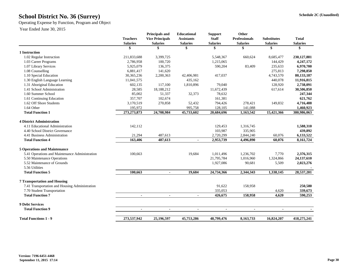## **Schedule 2C (Unaudited) School District No. 36 (Surrey)**

Operating Expense by Function, Program and Object

|                                                | <b>Teachers</b><br><b>Salaries</b> | <b>Principals and</b><br><b>Vice Principals</b><br><b>Salaries</b> | <b>Educational</b><br><b>Assistants</b><br><b>Salaries</b> | <b>Support</b><br><b>Staff</b><br><b>Salaries</b> | <b>Other</b><br><b>Professionals</b><br><b>Salaries</b> | <b>Substitutes</b><br><b>Salaries</b> | <b>Total</b><br><b>Salaries</b> |
|------------------------------------------------|------------------------------------|--------------------------------------------------------------------|------------------------------------------------------------|---------------------------------------------------|---------------------------------------------------------|---------------------------------------|---------------------------------|
|                                                |                                    |                                                                    | \$                                                         | Ж                                                 |                                                         |                                       |                                 |
| 1 Instruction                                  |                                    |                                                                    |                                                            |                                                   |                                                         |                                       |                                 |
| 1.02 Regular Instruction                       | 211,833,688                        | 3,399,725                                                          |                                                            | 5,548,367                                         | 660,624                                                 | 8,685,477                             | 230, 127, 881                   |
| 1.03 Career Programs                           | 2,786,958                          | 100,720                                                            |                                                            | 1,215,065                                         |                                                         | 144,429                               | 4,247,172                       |
| 1.07 Library Services                          | 5,925,079                          | 136,375                                                            |                                                            | 590,204                                           | 83,409                                                  | 235,633                               | 6,970,700                       |
| 1.08 Counselling                               | 6,881,417                          | 141,620                                                            |                                                            |                                                   |                                                         | 275,813                               | 7,298,850                       |
| 1.10 Special Education                         | 30, 365, 236                       | 2,200,363                                                          | 42,406,981                                                 | 417,037                                           |                                                         | 4,743,570                             | 80,133,187                      |
| 1.30 English Language Learning                 | 11,041,575                         |                                                                    | 435,162                                                    |                                                   |                                                         | 440,078                               | 11,916,815                      |
| 1.31 Aboriginal Education                      | 602,135                            | 117,100                                                            | 1,810,896                                                  | 79,040                                            |                                                         | 128,920                               | 2,738,091                       |
| 1.41 School Administration                     | 28,585                             | 18,188,212                                                         |                                                            | 11,672,439                                        |                                                         | 617,614                               | 30,506,850                      |
| 1.60 Summer School                             | 85,002                             | 51,337                                                             | 32,373                                                     | 78,632                                            |                                                         |                                       | 247,344                         |
| 1.61 Continuing Education                      | 357,707                            | 102,674                                                            |                                                            | 161,381                                           |                                                         |                                       | 621,762                         |
| 1.62 Off Shore Students                        | 3,170,519                          | 270,858                                                            | 52,432                                                     | 794,426                                           | 278,421                                                 | 149,832                               | 4,716,488                       |
| 1.64 Other                                     | 195,972                            |                                                                    | 995,758                                                    | 128,105                                           | 141,088                                                 |                                       | 1,460,923                       |
| <b>Total Function 1</b>                        | 273, 273, 873                      | 24,708,984                                                         | 45,733,602                                                 | 20,684,696                                        | 1,163,542                                               | 15,421,366                            | 380,986,063                     |
| <b>4 District Administration</b>               |                                    |                                                                    |                                                            |                                                   |                                                         |                                       |                                 |
| 4.11 Educational Administration                | 142,112                            |                                                                    |                                                            | 129,453                                           | 1,316,745                                               |                                       | 1,588,310                       |
| 4.40 School District Governance                |                                    |                                                                    |                                                            | 103,987                                           | 335,905                                                 |                                       | 439,892                         |
| 4.41 Business Administration                   | 21,294                             | 487,613                                                            |                                                            | 2,720,299                                         | 2,844,240                                               | 60,076                                | 6,133,522                       |
| <b>Total Function 4</b>                        | 163,406                            | 487,613                                                            |                                                            | 2,953,739                                         | 4,496,890                                               | 60,076                                | 8, 161, 724                     |
| <b>5 Operations and Maintenance</b>            |                                    |                                                                    |                                                            |                                                   |                                                         |                                       |                                 |
| 5.41 Operations and Maintenance Administration | 100,663                            |                                                                    | 19,684                                                     | 1,011,496                                         | 1,236,702                                               | 7,770                                 | 2,376,315                       |
| 5.50 Maintenance Operations                    |                                    |                                                                    |                                                            | 21,795,784                                        | 1,016,960                                               | 1,324,866                             | 24, 137, 610                    |
| 5.52 Maintenance of Grounds                    |                                    |                                                                    |                                                            | 1,927,086                                         | 90,681                                                  | 5,509                                 | 2,023,276                       |
| 5.56 Utilities                                 |                                    |                                                                    |                                                            |                                                   |                                                         |                                       |                                 |
| <b>Total Function 5</b>                        | 100,663                            | $\blacksquare$                                                     | 19,684                                                     | 24,734,366                                        | 2,344,343                                               | 1,338,145                             | 28,537,201                      |
| <b>7 Transportation and Housing</b>            |                                    |                                                                    |                                                            |                                                   |                                                         |                                       |                                 |
| 7.41 Transportation and Housing Administration |                                    |                                                                    |                                                            | 91,622                                            | 158,958                                                 |                                       | 250,580                         |
| 7.70 Student Transportation                    |                                    |                                                                    |                                                            | 335,053                                           |                                                         | 4,620                                 | 339,673                         |
| <b>Total Function 7</b>                        |                                    | $\blacksquare$                                                     | $\blacksquare$                                             | 426,675                                           | 158,958                                                 | 4,620                                 | 590,253                         |
| <b>9 Debt Services</b>                         |                                    |                                                                    |                                                            |                                                   |                                                         |                                       |                                 |
| <b>Total Function 9</b>                        | $\blacksquare$                     | $\blacksquare$                                                     | $\blacksquare$                                             | $\blacksquare$                                    | $\blacksquare$                                          |                                       |                                 |
| <b>Total Functions 1 - 9</b>                   | 273,537,942                        | 25,196,597                                                         | 45,753,286                                                 | 48,799,476                                        | 8,163,733                                               | 16,824,207                            | 418,275,241                     |
|                                                |                                    |                                                                    |                                                            |                                                   |                                                         |                                       |                                 |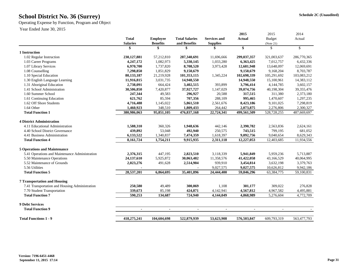## **Schedule 2C (Unaudited) School District No. 36 (Surrey)**

Operating Expense by Function, Program and Object

|                                                |                 |                 |                       |                     | 2015           | 2015                     | 2014          |
|------------------------------------------------|-----------------|-----------------|-----------------------|---------------------|----------------|--------------------------|---------------|
|                                                | <b>Total</b>    | <b>Employee</b> | <b>Total Salaries</b> | <b>Services and</b> | <b>Actual</b>  | <b>Budget</b>            | Actual        |
|                                                | <b>Salaries</b> | <b>Benefits</b> | and Benefits          | <b>Supplies</b>     |                | (Note 21)                |               |
|                                                |                 |                 | \$                    |                     | \$             | \$                       | \$            |
| 1 Instruction                                  |                 |                 |                       |                     |                |                          |               |
| 1.02 Regular Instruction                       | 230, 127, 881   | 57,212,810      | 287,340,691           | 11,696,666          | 299,037,357    | 321,003,637              | 286,770,365   |
| 1.03 Career Programs                           | 4,247,172       | 1,082,973       | 5,330,145             | 1,033,280           | 6,363,425      | 7,012,757                | 6,432,336     |
| 1.07 Library Services                          | 6,970,700       | 1,737,820       | 8,708,520             | 3,973,428           | 12,681,948     | 13,648,097               | 12,069,691    |
| 1.08 Counselling                               | 7,298,850       | 1,851,829       | 9,150,679             |                     | 9,150,679      | 9,168,204                | 8,703,787     |
| 1.10 Special Education                         | 80,133,187      | 21,219,928      | 101,353,115           | 1,345,224           | 102,698,339    | 105,291,692              | 103,083,212   |
| 1.30 English Language Learning                 | 11,916,815      | 3,031,735       | 14,948,550            |                     | 14,948,550     | 15,100,961               | 14,383,112    |
| 1.31 Aboriginal Education                      | 2,738,091       | 664,424         | 3,402,515             | 393,899             | 3,796,414      | 4, 144, 785              | 3,602,157     |
| 1.41 School Administration                     | 30,506,850      | 7,420,877       | 37,927,727            | 1,147,029           | 39,074,756     | 40,198,304               | 39, 355, 476  |
| 1.60 Summer School                             | 247,344         | 49,583          | 296,927               | 20,588              | 317,515        | 311,380                  | 2,373,180     |
| 1.61 Continuing Education                      | 621,762         | 85,594          | 707,356               | 288,109             | 995,465        | 1,470,607                | 1,297,235     |
| 1.62 Off Shore Students                        | 4,716,488       | 1,145,022       | 5,861,510             | 2,561,676           | 8,423,186      | 9,101,025                | 7,298,819     |
| 1.64 Other                                     | 1,460,923       | 348,510         | 1,809,433             | 264,442             | 2,073,875      | 2,276,806                | 2,300,327     |
| <b>Total Function 1</b>                        | 380,986,063     | 95,851,105      | 476,837,168           | 22,724,341          | 499,561,509    | 528,728,255              | 487,669,697   |
| <b>4 District Administration</b>               |                 |                 |                       |                     |                |                          |               |
| 4.11 Educational Administration                | 1,588,310       | 360,326         | 1,948,636             | 442,146             | 2,390,782      | 2,563,836                | 2,624,161     |
| 4.40 School District Governance                | 439,892         | 53,048          | 492,940               | 250,575             | 743,515        | 799,195                  | 681,052       |
| 4.41 Business Administration                   | 6,133,522       | 1,340,837       | 7,474,359             | 1,618,397           | 9,092,756      | 9,040,654                | 8,629,343     |
| <b>Total Function 4</b>                        | 8,161,724       | 1,754,211       | 9,915,935             | 2,311,118           | 12,227,053     | 12,403,685               | 11,934,556    |
|                                                |                 |                 |                       |                     |                |                          |               |
| <b>5 Operations and Maintenance</b>            |                 |                 |                       |                     |                |                          |               |
| 5.41 Operations and Maintenance Administration | 2,376,315       | 447,195         | 2,823,510             | 3,118,339           | 5,941,849      | 5,959,236                | 5,713,887     |
| 5.50 Maintenance Operations                    | 24,137,610      | 5,925,872       | 30,063,482            | 11,358,576          | 41,422,058     | 43,166,529               | 40,064,995    |
| 5.52 Maintenance of Grounds                    | 2,023,276       | 491,628         | 2,514,904             | 939,910             | 3,454,814      | 3,632,198                | 3,379,763     |
| 5.56 Utilities                                 |                 |                 |                       | 9,027,575           | 9,027,575      | 10,626,812               | 9,942,186     |
| <b>Total Function 5</b>                        | 28,537,201      | 6,864,695       | 35,401,896            | 24,444,400          | 59,846,296     | 63, 384, 775             | 59,100,831    |
| <b>7 Transportation and Housing</b>            |                 |                 |                       |                     |                |                          |               |
| 7.41 Transportation and Housing Administration | 250,580         | 49,489          | 300,069               | 1,108               | 301,177        | 309,022                  | 276,828       |
| 7.70 Student Transportation                    | 339,673         | 85,198          | 424,871               | 4,142,941           | 4,567,812      | 4,967,582                | 4,495,881     |
| <b>Total Function 7</b>                        | 590,253         | 134,687         | 724,940               | 4,144,049           | 4,868,989      | 5,276,604                | 4,772,709     |
| <b>9 Debt Services</b>                         |                 |                 |                       |                     |                |                          |               |
| <b>Total Function 9</b>                        | $\sim$          | $\blacksquare$  | $\blacksquare$        | $\blacksquare$      | $\blacksquare$ | $\overline{\phantom{a}}$ |               |
| <b>Total Functions 1 - 9</b>                   | 418,275,241     | 104,604,698     | 522,879,939           | 53,623,908          | 576,503,847    | 609,793,319              | 563, 477, 793 |
|                                                |                 |                 |                       |                     |                |                          |               |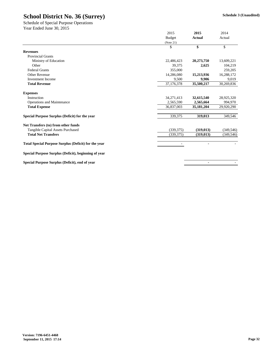|                                                             | 2015          | 2015           | 2014                      |  |
|-------------------------------------------------------------|---------------|----------------|---------------------------|--|
|                                                             | <b>Budget</b> | <b>Actual</b>  | Actual                    |  |
|                                                             | (Note 21)     |                |                           |  |
|                                                             | $\mathcal{S}$ | \$             | $\boldsymbol{\mathsf{S}}$ |  |
| <b>Revenues</b>                                             |               |                |                           |  |
| <b>Provincial Grants</b>                                    |               |                |                           |  |
| Ministry of Education                                       | 22,486,423    | 20,273,750     | 13,609,221                |  |
| Other                                                       | 39,375        | 2,625          | 104,219                   |  |
| <b>Federal Grants</b>                                       | 355,000       |                | 259,205                   |  |
| <b>Other Revenue</b>                                        | 14,286,080    | 15,213,936     | 16,288,172                |  |
| <b>Investment Income</b>                                    | 9,500         | 9,906          | 9,019                     |  |
| <b>Total Revenue</b>                                        | 37,176,378    | 35,500,217     | 30,269,836                |  |
| <b>Expenses</b>                                             |               |                |                           |  |
| Instruction                                                 | 34, 271, 413  | 32,615,540     | 28,925,320                |  |
| <b>Operations and Maintenance</b>                           | 2,565,590     | 2,565,664      | 994,970                   |  |
| <b>Total Expense</b>                                        | 36,837,003    | 35, 181, 204   | 29,920,290                |  |
| Special Purpose Surplus (Deficit) for the year              | 339,375       | 319,013        | 349,546                   |  |
| <b>Net Transfers (to) from other funds</b>                  |               |                |                           |  |
| <b>Tangible Capital Assets Purchased</b>                    | (339, 375)    | (319, 013)     | (349, 546)                |  |
| <b>Total Net Transfers</b>                                  | (339, 375)    | (319, 013)     | (349, 546)                |  |
| <b>Total Special Purpose Surplus (Deficit) for the year</b> |               |                |                           |  |
| Special Purpose Surplus (Deficit), beginning of year        |               |                |                           |  |
| Special Purpose Surplus (Deficit), end of year              |               | $\blacksquare$ |                           |  |

Year Ended June 30, 2015 Schedule of Special Purpose Operations

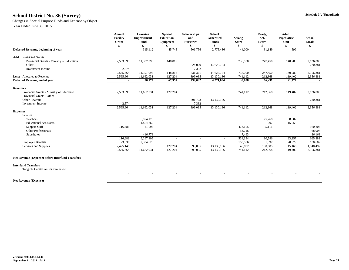## **Schedule 3A (Unaudited) School District No. 36 (Surrey)**

Changes in Special Purpose Funds and Expense by Object

|                                                                 | <b>Annual</b><br><b>Facility</b><br>Grant | <b>Learning</b><br>Improvement<br><b>Fund</b> | <b>Special</b><br><b>Education</b><br><b>Equipment</b> | <b>Scholarships</b><br>and<br><b>Bursaries</b> | <b>School</b><br><b>Generated</b><br><b>Funds</b> | <b>Strong</b><br><b>Start</b> | <b>Adult</b><br>Ready,<br>Psychiatric<br>Set,<br>Unit<br>Learn<br>-\$ | <b>School</b><br><b>Meals</b> |           |
|-----------------------------------------------------------------|-------------------------------------------|-----------------------------------------------|--------------------------------------------------------|------------------------------------------------|---------------------------------------------------|-------------------------------|-----------------------------------------------------------------------|-------------------------------|-----------|
|                                                                 | \$                                        |                                               |                                                        |                                                | <sup>\$</sup>                                     |                               |                                                                       |                               | \$        |
| Deferred Revenue, beginning of year                             |                                           | 315,112                                       | 45,745                                                 | 506,756                                        | 2,775,436                                         | 44,000                        | 31,149                                                                | 599                           |           |
| <b>Add:</b> Restricted Grants                                   |                                           |                                               |                                                        |                                                |                                                   |                               |                                                                       |                               |           |
| Provincial Grants - Ministry of Education                       | 2,563,090                                 | 11,397,093                                    | 148,816                                                |                                                |                                                   | 736,000                       | 247,450                                                               | 140,280                       | 2,136,000 |
| Other                                                           |                                           |                                               |                                                        | 324,029                                        | 14,625,754                                        |                               |                                                                       |                               | 220,381   |
| <b>Investment Income</b>                                        | 2,574                                     |                                               |                                                        | 7,332                                          |                                                   |                               |                                                                       |                               |           |
|                                                                 | 2,565,664                                 | 11,397,093                                    | 148,816                                                | 331,361                                        | 14,625,754                                        | 736,000                       | 247,450                                                               | 140,280                       | 2,356,381 |
| Less: Allocated to Revenue                                      | 2,565,664                                 | 11,662,031                                    | 127,204                                                | 399,035                                        | 13,130,186                                        | 741,112                       | 212,368                                                               | 119,402                       | 2,356,381 |
| Deferred Revenue, end of year                                   | $\sim$                                    | 50,174                                        | 67,357                                                 | 439,082                                        | 4,271,004                                         | 38,888                        | 66,231                                                                | 21,477                        |           |
| <b>Revenues</b>                                                 |                                           |                                               |                                                        |                                                |                                                   |                               |                                                                       |                               |           |
| Provincial Grants - Ministry of Education                       | 2,563,090                                 | 11,662,031                                    | 127,204                                                |                                                |                                                   | 741,112                       | 212,368                                                               | 119,402                       | 2,136,000 |
| Provincial Grants - Other                                       |                                           |                                               |                                                        |                                                |                                                   |                               |                                                                       |                               |           |
| <b>Other Revenue</b>                                            |                                           |                                               |                                                        | 391,703                                        | 13,130,186                                        |                               |                                                                       |                               | 220,381   |
| <b>Investment Income</b>                                        | 2,574                                     |                                               |                                                        | 7,332                                          |                                                   |                               |                                                                       |                               |           |
|                                                                 | 2,565,664                                 | 11,662,031                                    | 127,204                                                | 399,035                                        | 13,130,186                                        | 741,112                       | 212,368                                                               | 119,402                       | 2,356,381 |
| <b>Expenses</b>                                                 |                                           |                                               |                                                        |                                                |                                                   |                               |                                                                       |                               |           |
| Salaries                                                        |                                           |                                               |                                                        |                                                |                                                   |                               |                                                                       |                               |           |
| Teachers                                                        |                                           | 6,974,170                                     |                                                        |                                                |                                                   |                               | 75,268                                                                | 68,002                        |           |
| <b>Educational Assistants</b>                                   |                                           | 1,854,862                                     |                                                        |                                                |                                                   |                               | 207                                                                   | 15,255                        |           |
| <b>Support Staff</b>                                            | 116,688                                   | 21,595                                        |                                                        |                                                |                                                   | 473,155                       | 5,111                                                                 |                               | 560,207   |
| <b>Other Professionals</b>                                      |                                           |                                               |                                                        |                                                |                                                   | 53,716                        |                                                                       |                               | 68,907    |
| Substitutes                                                     |                                           | 416,778                                       |                                                        |                                                |                                                   | 7,463                         |                                                                       |                               | 36,168    |
|                                                                 | 116,688                                   | 9,267,405                                     |                                                        |                                                |                                                   | 534,334                       | 80,586                                                                | 83,257                        | 665,282   |
| <b>Employee Benefits</b>                                        | 23,830                                    | 2,394,626                                     |                                                        |                                                |                                                   | 159,886                       | 1,097                                                                 | 20,979                        | 150,602   |
| Services and Supplies                                           | 2,425,146                                 |                                               | 127,204                                                | 399,035                                        | 13,130,186                                        | 46,892                        | 130,685                                                               | 15,166                        | 1,540,497 |
|                                                                 | 2,565,664                                 | 11,662,031                                    | 127,204                                                | 399,035                                        | 13,130,186                                        | 741,112                       | 212,368                                                               | 119,402                       | 2,356,381 |
| <b>Net Revenue (Expense) before Interfund Transfers</b>         | $\sim$                                    | $\sim$                                        | $\sim$                                                 | $\sim$                                         | $\sim$                                            | $\sim$                        | $\sim$                                                                | $\sim$                        |           |
| <b>Interfund Transfers</b><br>Tangible Capital Assets Purchased |                                           |                                               |                                                        |                                                |                                                   |                               |                                                                       |                               |           |
|                                                                 |                                           |                                               |                                                        |                                                |                                                   |                               |                                                                       |                               |           |
| <b>Net Revenue (Expense)</b>                                    |                                           |                                               |                                                        |                                                |                                                   |                               |                                                                       |                               |           |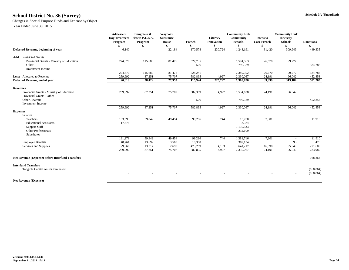## **Schedule 3A (Unaudited) School District No. 36 (Surrey)**

### Changes in Special Purpose Funds and Expense by Object

|                                                                 | <b>Adolescent</b><br><b>Day Treatment</b> | Daughters &<br>Sisters P.L.E.A. | Waypoint<br><b>Substance</b> |          | <b>Literacy</b>   | <b>Community Link</b><br><b>Community</b> | <b>Intensive</b>                     | <b>Community Link</b><br><b>Innercity</b> |                  |
|-----------------------------------------------------------------|-------------------------------------------|---------------------------------|------------------------------|----------|-------------------|-------------------------------------------|--------------------------------------|-------------------------------------------|------------------|
|                                                                 | <b>Program</b>                            | <b>Program</b>                  | House                        | French   | <b>Innovation</b> | <b>Schools</b>                            | <b>Schools</b><br><b>Core French</b> |                                           | <b>Donations</b> |
|                                                                 | \$                                        | \$                              |                              |          | \$                | \$                                        |                                      |                                           |                  |
| Deferred Revenue, beginning of year                             | 6,140                                     |                                 | 22,184                       | 170,578  | 230,724           | 1,248,191                                 | 31,420                               | 309,949                                   | 449,335          |
| <b>Add:</b> Restricted Grants                                   |                                           |                                 |                              |          |                   |                                           |                                      |                                           |                  |
| Provincial Grants - Ministry of Education                       | 274,670                                   | 115,680                         | 81,476                       | 527,735  |                   | 1,594,563                                 | 26,670                               | 99,277                                    |                  |
| Other                                                           |                                           |                                 |                              | 506      |                   | 795,389                                   |                                      |                                           | 584,783          |
| <b>Investment Income</b>                                        |                                           |                                 |                              |          |                   |                                           |                                      |                                           |                  |
|                                                                 | 274,670                                   | 115,680                         | 81,476                       | 528,241  |                   | 2,389,952                                 | 26,670                               | 99,277                                    | 584,783          |
| Less: Allocated to Revenue                                      | 259,992                                   | 87,251                          | 75,707                       | 582,895  | 4,927             | 2,330,067                                 | 24,191                               | 96,042                                    | 452,853          |
| Deferred Revenue, end of year                                   | 20,818                                    | 28,429                          | 27,953                       | 115,924  | 225,797           | 1,308,076                                 | 33,899                               | 313,184                                   | 581,265          |
| <b>Revenues</b>                                                 |                                           |                                 |                              |          |                   |                                           |                                      |                                           |                  |
| Provincial Grants - Ministry of Education                       | 259,992                                   | 87,251                          | 75,707                       | 582,389  | 4,927             | 1,534,678                                 | 24,191                               | 96,042                                    |                  |
| Provincial Grants - Other                                       |                                           |                                 |                              |          |                   |                                           |                                      |                                           |                  |
| Other Revenue                                                   |                                           |                                 |                              | 506      |                   | 795,389                                   |                                      |                                           | 452,853          |
| <b>Investment Income</b>                                        |                                           |                                 |                              |          |                   |                                           |                                      |                                           |                  |
|                                                                 | 259,992                                   | 87,251                          | 75,707                       | 582,895  | 4,927             | 2,330,067                                 | 24,191                               | 96,042                                    | 452,853          |
| <b>Expenses</b>                                                 |                                           |                                 |                              |          |                   |                                           |                                      |                                           |                  |
| Salaries                                                        |                                           |                                 |                              |          |                   |                                           |                                      |                                           |                  |
| Teachers                                                        | 163,593                                   | 59,842                          | 49,454                       | 99,286   | 744               | 15,700                                    | 7,301                                |                                           | 11,910           |
| <b>Educational Assistants</b>                                   | 17,678                                    |                                 |                              |          |                   | 3,374                                     |                                      |                                           |                  |
| <b>Support Staff</b>                                            |                                           |                                 |                              |          |                   | 1,130,533                                 |                                      |                                           |                  |
| <b>Other Professionals</b>                                      |                                           |                                 |                              |          |                   | 232,109                                   |                                      |                                           |                  |
| Substitutes                                                     |                                           |                                 |                              |          |                   |                                           |                                      |                                           |                  |
|                                                                 | 181,271                                   | 59,842                          | 49,454                       | 99,286   | 744               | 1,381,716                                 | 7,301                                |                                           | 11,910           |
| <b>Employee Benefits</b>                                        | 48,761                                    | 13,692                          | 13,563                       | 10,350   |                   | 307,134                                   |                                      | 93                                        | 470              |
| Services and Supplies                                           | 29,960                                    | 13,717                          | 12,690                       | 473,259  | 4,183             | 641,217                                   | 16,890                               | 95,949                                    | 271,609          |
|                                                                 | 259,992                                   | 87,251                          | 75,707                       | 582,895  | 4,927             | 2,330,067                                 | 24,191                               | 96,042                                    | 283,989          |
| <b>Net Revenue (Expense) before Interfund Transfers</b>         |                                           | $\sim$                          | $\sim$ .                     | $\sim$ . | $\sim$            | $\sim$                                    | $\overline{a}$                       | $\sim$                                    | 168,864          |
| <b>Interfund Transfers</b><br>Tangible Capital Assets Purchased |                                           |                                 |                              |          |                   |                                           |                                      |                                           | (168, 864)       |
|                                                                 |                                           |                                 |                              |          |                   |                                           |                                      |                                           | (168, 864)       |
| <b>Net Revenue (Expense)</b>                                    |                                           | $\sim$                          | $\sim$                       | $\sim$   | $\sim$            | $\sim$                                    | $\sim$                               | $\sim$                                    |                  |
|                                                                 |                                           |                                 |                              |          |                   |                                           |                                      |                                           |                  |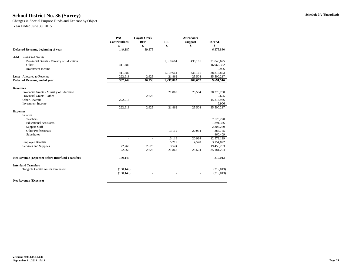## **Schedule 3A (Unaudited) School District No. 36 (Surrey)**

### Changes in Special Purpose Funds and Expense by Object

|                                                         | <b>PAC</b>           | <b>Coyote Creek</b>      |                          |                |              |
|---------------------------------------------------------|----------------------|--------------------------|--------------------------|----------------|--------------|
|                                                         | <b>Contributions</b> | <b>BEP</b>               | <b>IPE</b>               | <b>Support</b> | <b>TOTAL</b> |
|                                                         | \$                   | \$                       | \$                       | \$             | \$           |
| Deferred Revenue, beginning of year                     | 149,187              | 39,375                   |                          |                | 6,375,880    |
| <b>Add:</b> Restricted Grants                           |                      |                          |                          |                |              |
| Provincial Grants - Ministry of Education               |                      |                          | 1,319,664                | 435,161        | 21,843,625   |
| Other                                                   | 411,480              |                          |                          |                | 16,962,322   |
| <b>Investment Income</b>                                |                      |                          |                          |                | 9,906        |
|                                                         | 411,480              |                          | 1,319,664                | 435,161        | 38,815,853   |
| Less: Allocated to Revenue                              | 222,918              | 2,625                    | 21,862                   | 25,504         | 35,500,217   |
| Deferred Revenue, end of year                           | 337,749              | 36,750                   | 1,297,802                | 409,657        | 9,691,516    |
| <b>Revenues</b>                                         |                      |                          |                          |                |              |
| Provincial Grants - Ministry of Education               |                      |                          | 21,862                   | 25,504         | 20,273,750   |
| <b>Provincial Grants - Other</b>                        |                      | 2,625                    |                          |                | 2,625        |
| <b>Other Revenue</b>                                    | 222,918              |                          |                          |                | 15,213,936   |
| <b>Investment Income</b>                                |                      |                          |                          |                | 9,906        |
|                                                         | 222,918              | 2,625                    | 21,862                   | 25,504         | 35,500,217   |
| <b>Expenses</b>                                         |                      |                          |                          |                |              |
| Salaries                                                |                      |                          |                          |                |              |
| Teachers                                                |                      |                          |                          |                | 7,525,270    |
| <b>Educational Assistants</b>                           |                      |                          |                          |                | 1,891,376    |
| <b>Support Staff</b>                                    |                      |                          |                          |                | 2,307,289    |
| <b>Other Professionals</b>                              |                      |                          | 13,119                   | 20,934         | 388,785      |
| Substitutes                                             |                      |                          |                          |                | 460,409      |
|                                                         |                      |                          | 13,119                   | 20,934         | 12,573,129   |
| <b>Employee Benefits</b>                                |                      |                          | 5,219                    | 4,570          | 3,154,872    |
| Services and Supplies                                   | 72,769               | 2,625                    | 3,524                    |                | 19,453,203   |
|                                                         | 72,769               | 2,625                    | 21,862                   | 25,504         | 35,181,204   |
| <b>Net Revenue (Expense) before Interfund Transfers</b> | 150,149              | $\overline{\phantom{a}}$ | $\overline{\phantom{a}}$ |                | 319,013      |
| <b>Interfund Transfers</b>                              |                      |                          |                          |                |              |
| Tangible Capital Assets Purchased                       | (150, 149)           |                          |                          |                | (319,013)    |
|                                                         | (150, 149)           |                          |                          |                | (319,013)    |
| <b>Net Revenue (Expense)</b>                            | $\blacksquare$       | $\blacksquare$           |                          | $\blacksquare$ |              |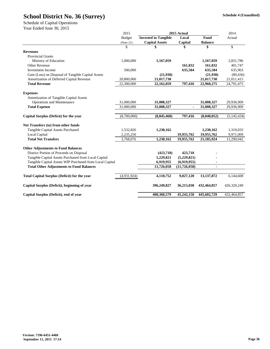|                                                          | 2015          | 2015 Actual                 | 2014           |                |               |  |
|----------------------------------------------------------|---------------|-----------------------------|----------------|----------------|---------------|--|
|                                                          | <b>Budget</b> | <b>Invested in Tangible</b> | Local          | Fund           | Actual        |  |
|                                                          | (Note 21)     | <b>Capital Assets</b>       | Capital        | <b>Balance</b> |               |  |
|                                                          | \$            | \$                          | \$             | \$             | \$            |  |
| <b>Revenues</b>                                          |               |                             |                |                |               |  |
| <b>Provincial Grants</b>                                 |               |                             |                |                |               |  |
| Ministry of Education                                    | 1,000,000     | 1,167,059                   |                | 1,167,059      | 2,831,786     |  |
| <b>Other Revenue</b>                                     |               |                             | 161,832        | 161,832        | 401,747       |  |
| <b>Investment Income</b>                                 | 500,000       |                             | 635,584        | 635,584        | 635,963       |  |
| Gain (Loss) on Disposal of Tangible Capital Assets       |               | (21,930)                    |                | (21,930)       | (89, 436)     |  |
| Amortization of Deferred Capital Revenue                 | 20,800,000    | 21,017,730                  |                | 21,017,730     | 21,011,415    |  |
| <b>Total Revenue</b>                                     | 22,300,000    | 22,162,859                  | 797,416        | 22,960,275     | 24,791,475    |  |
| <b>Expenses</b>                                          |               |                             |                |                |               |  |
| <b>Amortization of Tangible Capital Assets</b>           |               |                             |                |                |               |  |
| <b>Operations and Maintenance</b>                        | 31,000,000    | 31,008,327                  |                | 31,008,327     | 29,936,909    |  |
| <b>Total Expense</b>                                     | 31,000,000    | 31,008,327                  |                | 31,008,327     | 29,936,909    |  |
| Capital Surplus (Deficit) for the year                   | (8,700,000)   | (8, 845, 468)               | 797,416        | (8,048,052)    | (5, 145, 434) |  |
| Net Transfers (to) from other funds                      |               |                             |                |                |               |  |
| <b>Tangible Capital Assets Purchased</b>                 | 1,532,826     | 1,230,162                   |                | 1,230,162      | 1,319,033     |  |
| Local Capital                                            | 2,235,250     |                             | 19,955,762     | 19,955,762     | 9,971,009     |  |
| <b>Total Net Transfers</b>                               | 3,768,076     | 1,230,162                   | 19,955,762     | 21,185,924     | 11,290,042    |  |
| <b>Other Adjustments to Fund Balances</b>                |               |                             |                |                |               |  |
| District Portion of Proceeds on Disposal                 |               | (423,718)                   | 423,718        |                |               |  |
| Tangible Capital Assets Purchased from Local Capital     |               | 5,229,821                   | (5,229,821)    |                |               |  |
| Tangible Capital Assets WIP Purchased from Local Capital |               | 6,919,955                   | (6,919,955)    |                |               |  |
| <b>Total Other Adjustments to Fund Balances</b>          |               | 11,726,058                  | (11, 726, 058) | $\blacksquare$ |               |  |
| <b>Total Capital Surplus (Deficit) for the year</b>      | (4,931,924)   | 4,110,752                   | 9,027,120      | 13, 137, 872   | 6,144,608     |  |
| Capital Surplus (Deficit), beginning of year             |               | 396,249,827                 | 36,215,030     | 432,464,857    | 426,320,249   |  |
| Capital Surplus (Deficit), end of year                   |               | 400,360,579                 | 45,242,150     | 445,602,729    | 432,464,857   |  |

Schedule of Capital Operations

Year Ended June 30, 2015

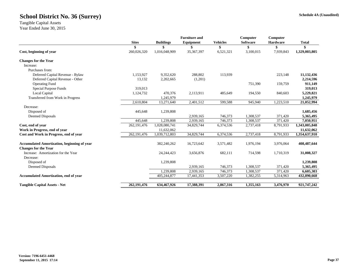### **Schedule 4A (Unaudited)**

|                                                    |               |                  | <b>Furniture and</b> |                 | Computer        | Computer        |               |
|----------------------------------------------------|---------------|------------------|----------------------|-----------------|-----------------|-----------------|---------------|
|                                                    | <b>Sites</b>  | <b>Buildings</b> | Equipment            | <b>Vehicles</b> | <b>Software</b> | <b>Hardware</b> | <b>Total</b>  |
|                                                    | \$            | \$               | S                    | \$              | \$              | \$              | \$            |
| Cost, beginning of year                            | 260,026,320   | 1,016,048,909    | 35, 367, 397         | 6,521,321       | 3,100,015       | 7,939,843       | 1,329,003,805 |
| <b>Changes for the Year</b>                        |               |                  |                      |                 |                 |                 |               |
| Increase:                                          |               |                  |                      |                 |                 |                 |               |
| Purchases from:                                    |               |                  |                      |                 |                 |                 |               |
| Deferred Capital Revenue - Bylaw                   | 1,153,927     | 9,352,620        | 288,802              | 113,939         |                 | 223,148         | 11,132,436    |
| Deferred Capital Revenue - Other                   | 13,132        | 2,202,665        | (1,201)              |                 |                 |                 | 2,214,596     |
| <b>Operating Fund</b>                              |               |                  |                      |                 | 751,390         | 159,759         | 911,149       |
| <b>Special Purpose Funds</b>                       | 319,013       |                  |                      |                 |                 |                 | 319,013       |
| <b>Local Capital</b>                               | 1,124,732     | 470,376          | 2,113,911            | 485,649         | 194,550         | 840,603         | 5,229,821     |
| Transferred from Work in Progress                  |               | 1,245,979        |                      |                 |                 |                 | 1,245,979     |
|                                                    | 2,610,804     | 13,271,640       | 2,401,512            | 599,588         | 945,940         | 1,223,510       | 21,052,994    |
| Decrease:                                          |               |                  |                      |                 |                 |                 |               |
| Disposed of                                        | 445,648       | 1,239,808        |                      |                 |                 |                 | 1,685,456     |
| Deemed Disposals                                   |               |                  | 2,939,165            | 746,373         | 1,308,537       | 371,420         | 5,365,495     |
|                                                    | 445,648       | 1,239,808        | 2,939,165            | 746,373         | 1,308,537       | 371,420         | 7,050,951     |
| Cost, end of year                                  | 262, 191, 476 | 1,028,080,741    | 34,829,744           | 6,374,536       | 2,737,418       | 8,791,933       | 1,343,005,848 |
| Work in Progress, end of year                      |               | 11,632,062       |                      |                 |                 |                 | 11,632,062    |
| Cost and Work in Progress, end of year             | 262, 191, 476 | 1,039,712,803    | 34,829,744           | 6,374,536       | 2,737,418       | 8,791,933       | 1,354,637,910 |
| <b>Accumulated Amortization, beginning of year</b> |               | 382,240,262      | 16,723,642           | 3,571,482       | 1,976,194       | 3,976,064       | 408,487,644   |
| <b>Changes for the Year</b>                        |               |                  |                      |                 |                 |                 |               |
| Increase: Amortization for the Year                |               | 24, 244, 423     | 3,656,876            | 682,111         | 714,598         | 1,710,319       | 31,008,327    |
| Decrease:                                          |               |                  |                      |                 |                 |                 |               |
| Disposed of                                        |               | 1,239,808        |                      |                 |                 |                 | 1,239,808     |
| Deemed Disposals                                   |               |                  | 2,939,165            | 746,373         | 1,308,537       | 371,420         | 5,365,495     |
|                                                    |               | 1,239,808        | 2,939,165            | 746,373         | 1,308,537       | 371,420         | 6,605,303     |
| <b>Accumulated Amortization, end of year</b>       |               | 405,244,877      | 17,441,353           | 3,507,220       | 1,382,255       | 5,314,963       | 432,890,668   |
| <b>Tangible Capital Assets - Net</b>               | 262, 191, 476 | 634,467,926      | 17,388,391           | 2,867,316       | 1,355,163       | 3,476,970       | 921,747,242   |

Tangible Capital Assets Year Ended June 30, 2015

## **School District No. 36 (Surrey)**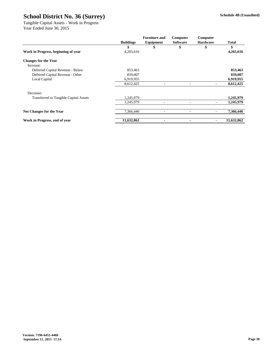|                                               |                  | <b>Furniture and</b>     | Computer                 | Computer        |              |
|-----------------------------------------------|------------------|--------------------------|--------------------------|-----------------|--------------|
|                                               | <b>Buildings</b> | Equipment                | <b>Software</b>          | <b>Hardware</b> | <b>Total</b> |
|                                               | \$               | \$                       | \$                       | \$              | \$           |
| Work in Progress, beginning of year           | 4,265,616        |                          |                          |                 | 4,265,616    |
| <b>Changes for the Year</b>                   |                  |                          |                          |                 |              |
| Increase:                                     |                  |                          |                          |                 |              |
| Deferred Capital Revenue - Bylaw              | 853,463          |                          |                          |                 | 853,463      |
| Deferred Capital Revenue - Other              | 839,007          |                          |                          |                 | 839,007      |
| Local Capital                                 | 6,919,955        |                          |                          |                 | 6,919,955    |
|                                               | 8,612,425        |                          |                          |                 | 8,612,425    |
| Decrease:                                     |                  |                          |                          |                 |              |
| <b>Transferred to Tangible Capital Assets</b> | 1,245,979        |                          |                          |                 | 1,245,979    |
|                                               | 1,245,979        | $\overline{\phantom{0}}$ |                          |                 | 1,245,979    |
| <b>Net Changes for the Year</b>               | 7,366,446        | $\overline{\phantom{a}}$ | $\overline{\phantom{a}}$ |                 | 7,366,446    |
| Work in Progress, end of year                 | 11,632,062       | $\blacksquare$           | $\blacksquare$           |                 | 11,632,062   |

Tangible Capital Assets - Work in Progress Year Ended June 30, 2015

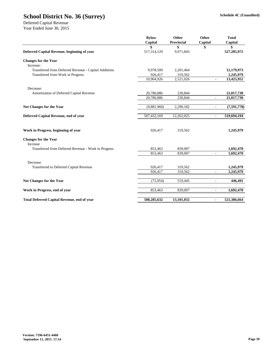| Deferred Capital Revenue, beginning of year           | 517,314,129 | 9,971,843  | 527,285,972                             |  |
|-------------------------------------------------------|-------------|------------|-----------------------------------------|--|
| <b>Changes for the Year</b>                           |             |            |                                         |  |
| Increase:                                             |             |            |                                         |  |
| Transferred from Deferred Revenue - Capital Additions | 9,978,509   | 2,201,464  | 12,179,973                              |  |
| Transferred from Work in Progress                     | 926,417     | 319,562    | 1,245,979                               |  |
|                                                       | 10,904,926  | 2,521,026  | 13,425,952<br>$\overline{\phantom{a}}$  |  |
| Decrease:                                             |             |            |                                         |  |
| Amortization of Deferred Capital Revenue              | 20,786,886  | 230,844    | 21,017,730                              |  |
|                                                       | 20,786,886  | 230,844    | 21,017,730<br>$\overline{\phantom{a}}$  |  |
| <b>Net Changes for the Year</b>                       | (9,881,960) | 2,290,182  | (7,591,778)<br>$\overline{\phantom{a}}$ |  |
| Deferred Capital Revenue, end of year                 | 507,432,169 | 12,262,025 | 519,694,194<br>$\overline{\phantom{a}}$ |  |
| Work in Progress, beginning of year                   | 926,417     | 319,562    | 1,245,979                               |  |
| <b>Changes for the Year</b><br>Increase               |             |            |                                         |  |
| Transferred from Deferred Revenue - Work in Progress  | 853,463     | 839,007    | 1,692,470                               |  |
|                                                       | 853,463     | 839,007    | 1,692,470<br>$\overline{a}$             |  |
| Decrease                                              |             |            |                                         |  |
| <b>Transferred to Deferred Capital Revenue</b>        | 926,417     | 319,562    | 1,245,979                               |  |
|                                                       | 926,417     | 319,562    | 1,245,979<br>$\overline{a}$             |  |
| Net Changes for the Year                              | (72, 954)   | 519,445    | 446,491<br>$\overline{\phantom{a}}$     |  |
| Work in Progress, end of year                         | 853,463     | 839,007    | 1,692,470<br>$\overline{\phantom{a}}$   |  |
| <b>Total Deferred Capital Revenue, end of year</b>    | 508,285,632 | 13,101,032 | 521,386,664<br>$\blacksquare$           |  |

Deferred Capital Revenue Year Ended June 30, 2015